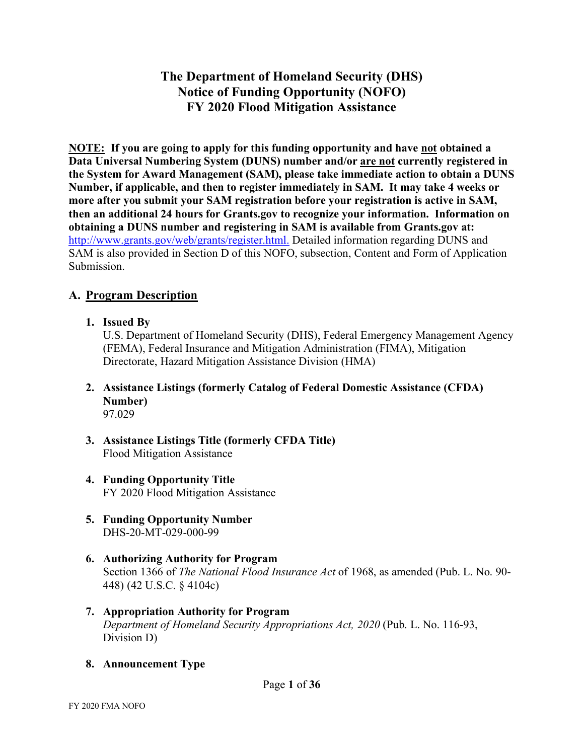# **The Department of Homeland Security (DHS) Notice of Funding Opportunity (NOFO) FY 2020 Flood Mitigation Assistance**

**NOTE: If you are going to apply for this funding opportunity and have not obtained a Data Universal Numbering System (DUNS) number and/or are not currently registered in the System for Award Management (SAM), please take immediate action to obtain a DUNS Number, if applicable, and then to register immediately in SAM. It may take 4 weeks or more after you submit your SAM registration before your registration is active in SAM, then an additional 24 hours for Grants.gov to recognize your information. Information on obtaining a DUNS number and registering in SAM is available from Grants.gov at:** [http://www.grants.gov/web/grants/register.html.](http://www.grants.gov/web/grants/register.html) Detailed information regarding DUNS and SAM is also provided in Section D of this NOFO, subsection, Content and Form of Application Submission.

# **A. Program Description**

**1. Issued By**

U.S. Department of Homeland Security (DHS), Federal Emergency Management Agency (FEMA), Federal Insurance and Mitigation Administration (FIMA), Mitigation Directorate, Hazard Mitigation Assistance Division (HMA)

- **2. Assistance Listings (formerly Catalog of Federal Domestic Assistance (CFDA) Number)**  97.029
- **3. Assistance Listings Title (formerly CFDA Title)**  Flood Mitigation Assistance
- **4. Funding Opportunity Title**  FY 2020 Flood Mitigation Assistance
- **5. Funding Opportunity Number** DHS-20-MT-029-000-99
- **6. Authorizing Authority for Program** Section 1366 of *The National Flood Insurance Act* of 1968, as amended (Pub. L. No. 90- 448) (42 U.S.C. § 4104c)
- **7. Appropriation Authority for Program** *Department of Homeland Security Appropriations Act, 2020* (Pub. L. No. 116-93, Division D)
- **8. Announcement Type**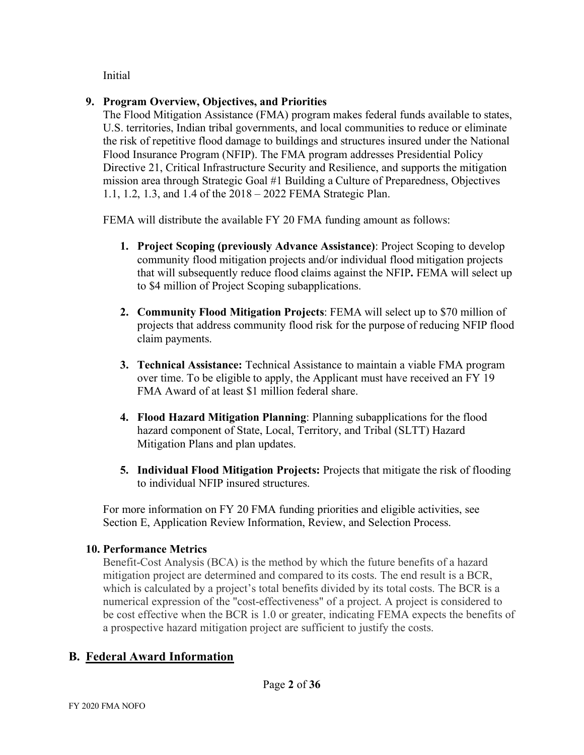Initial

# **9. Program Overview, Objectives, and Priorities**

The Flood Mitigation Assistance (FMA) program makes federal funds available to states, U.S. territories, Indian tribal governments, and local communities to reduce or eliminate the risk of repetitive flood damage to buildings and structures insured under the National Flood Insurance Program (NFIP). The FMA program addresses Presidential Policy Directive 21, Critical Infrastructure Security and Resilience, and supports the mitigation mission area through Strategic Goal #1 Building a Culture of Preparedness, Objectives 1.1, 1.2, 1.3, and 1.4 of the 2018 – 2022 FEMA Strategic Plan.

FEMA will distribute the available FY 20 FMA funding amount as follows:

- **1. Project Scoping (previously Advance Assistance)**: Project Scoping to develop community flood mitigation projects and/or individual flood mitigation projects that will subsequently reduce flood claims against the NFIP**.** FEMA will select up to \$4 million of Project Scoping subapplications.
- **2. Community Flood Mitigation Projects**: FEMA will select up to \$70 million of projects that address community flood risk for the purpose of reducing NFIP flood claim payments.
- **3. Technical Assistance:** Technical Assistance to maintain a viable FMA program over time. To be eligible to apply, the Applicant must have received an FY 19 FMA Award of at least \$1 million federal share.
- **4. Flood Hazard Mitigation Planning**: Planning subapplications for the flood hazard component of State, Local, Territory, and Tribal (SLTT) Hazard Mitigation Plans and plan updates.
- **5. Individual Flood Mitigation Projects:** Projects that mitigate the risk of flooding to individual NFIP insured structures.

For more information on FY 20 FMA funding priorities and eligible activities, see Section E, Application Review Information, Review, and Selection Process.

# **10. Performance Metrics**

Benefit-Cost Analysis (BCA) is the method by which the future benefits of a hazard mitigation project are determined and compared to its costs. The end result is a BCR, which is calculated by a project's total benefits divided by its total costs. The BCR is a numerical expression of the "cost-effectiveness" of a project. A project is considered to be cost effective when the BCR is 1.0 or greater, indicating FEMA expects the benefits of a prospective hazard mitigation project are sufficient to justify the costs.

# **B. Federal Award Information**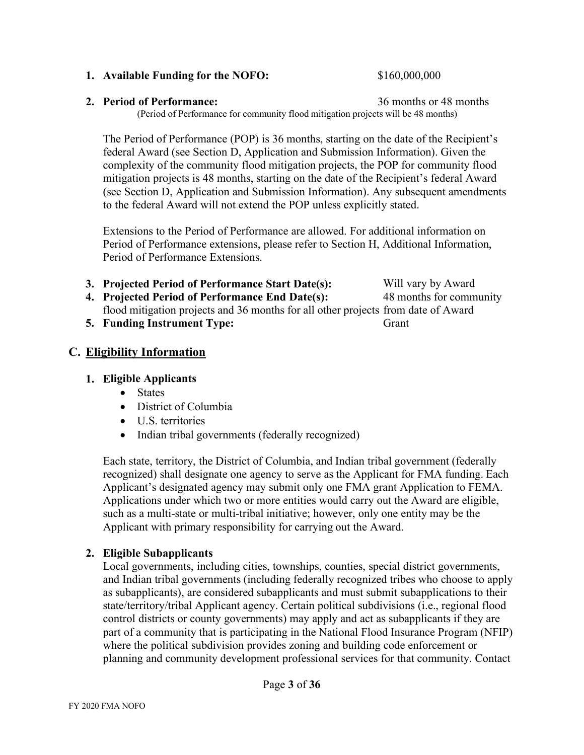#### Page **3** of **36**

#### **1. Available Funding for the NOFO:** \$160,000,000

#### **2. Period of Performance:** 36 months or 48 months

(Period of Performance for community flood mitigation projects will be 48 months)

The Period of Performance (POP) is 36 months, starting on the date of the Recipient's federal Award (see Section D, Application and Submission Information). Given the complexity of the community flood mitigation projects, the POP for community flood mitigation projects is 48 months, starting on the date of the Recipient's federal Award (see Section D, Application and Submission Information). Any subsequent amendments to the federal Award will not extend the POP unless explicitly stated.

Extensions to the Period of Performance are allowed. For additional information on Period of Performance extensions, please refer to Section H, Additional Information, Period of Performance Extensions.

- **3. Projected Period of Performance Start Date(s):**
- **4. Projected Period of Performance End Date(s):** flood mitigation projects and 36 months for all other projects from date of Award 48 months for community
- **5. Funding Instrument Type:**

# **C. Eligibility Information**

#### **1. Eligible Applicants**

- States
- District of Columbia
- U.S. territories
- Indian tribal governments (federally recognized)

Each state, territory, the District of Columbia, and Indian tribal government (federally recognized) shall designate one agency to serve as the Applicant for FMA funding. Each Applicant's designated agency may submit only one FMA grant Application to FEMA. Applications under which two or more entities would carry out the Award are eligible, such as a multi-state or multi-tribal initiative; however, only one entity may be the Applicant with primary responsibility for carrying out the Award.

# **2. Eligible Subapplicants**

Local governments, including cities, townships, counties, special district governments, and Indian tribal governments (including federally recognized tribes who choose to apply as subapplicants), are considered subapplicants and must submit subapplications to their state/territory/tribal Applicant agency. Certain political subdivisions (i.e., regional flood control districts or county governments) may apply and act as subapplicants if they are part of a community that is participating in the National Flood Insurance Program (NFIP) where the political subdivision provides zoning and building code enforcement or planning and community development professional services for that community. Contact

Grant

Will vary by Award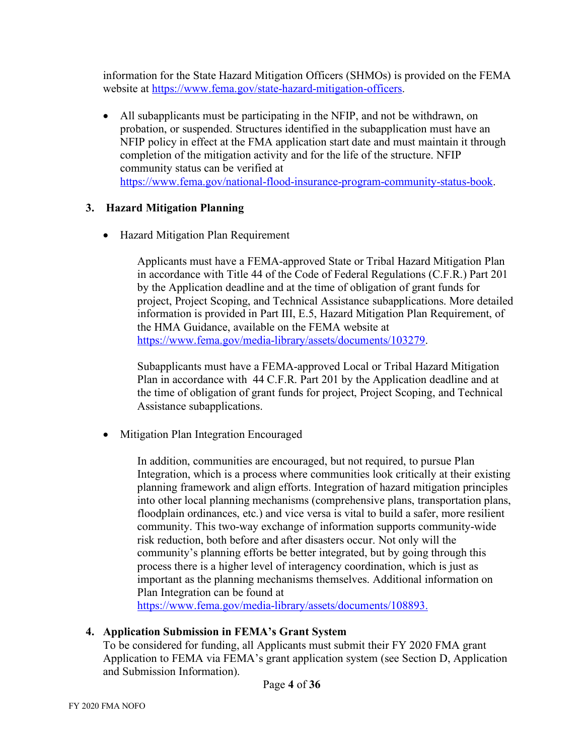information for the State Hazard Mitigation Officers (SHMOs) is provided on the FEMA website at [https://www.fema.gov/state-hazard-](https://www.fema.gov/state-hazard-mitigation-officers)[mitigation-officers.](http://www.fema.gov/state-hazard-mitigation-officers)

• All subapplicants must be participating in the NFIP, and not be withdrawn, on probation, or suspended. Structures identified in the subapplication must have an NFIP policy in effect at the FMA application start date and must maintain it through completion of the mitigation activity and for the life of the structure. NFIP community status can be verified at [https://www.fema.gov/national-flood-insurance-program-community-status-book.](https://www.fema.gov/national-flood-insurance-program-community-status-book)

# **3. Hazard Mitigation Planning**

• Hazard Mitigation Plan Requirement

Applicants must have a FEMA-approved State or Tribal Hazard Mitigation Plan in accordance with Title 44 of the Code of Federal Regulations (C.F.R.) Part 201 by the Application deadline and at the time of obligation of grant funds for project, Project Scoping, and Technical Assistance subapplications. More detailed information is provided in Part III, E.5, Hazard Mitigation Plan Requirement, of the HMA Guidance, available on the FEMA website at [https://www.fema.gov/media-library/assets/documents/103279.](https://www.fema.gov/media-library/assets/documents/103279)

Subapplicants must have a FEMA-approved Local or Tribal Hazard Mitigation Plan in accordance with 44 C.F.R. Part 201 by the Application deadline and at the time of obligation of grant funds for project, Project Scoping, and Technical Assistance subapplications.

• Mitigation Plan Integration Encouraged

In addition, communities are encouraged, but not required, to pursue Plan Integration, which is a process where communities look critically at their existing planning framework and align efforts. Integration of hazard mitigation principles into other local planning mechanisms (comprehensive plans, transportation plans, floodplain ordinances, etc.) and vice versa is vital to build a safer, more resilient community. This two-way exchange of information supports community-wide risk reduction, both before and after disasters occur. Not only will the community's planning efforts be better integrated, but by going through this process there is a higher level of interagency coordination, which is just as important as the planning mechanisms themselves. Additional information on Plan Integration can be found at

[https://www.fema.gov/media-library/assets/documents/108893.](https://www.fema.gov/media-library/assets/documents/108893)

# **4. Application Submission in FEMA's Grant System**

To be considered for funding, all Applicants must submit their FY 2020 FMA grant Application to FEMA via FEMA's grant application system (see Section D, Application and Submission Information).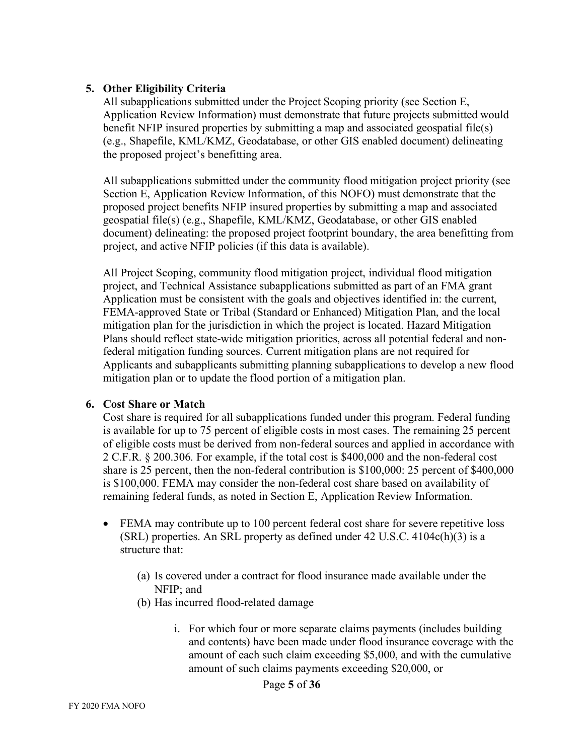#### **5. Other Eligibility Criteria**

All subapplications submitted under the Project Scoping priority (see Section E, Application Review Information) must demonstrate that future projects submitted would benefit NFIP insured properties by submitting a map and associated geospatial file(s) (e.g., Shapefile, KML/KMZ, Geodatabase, or other GIS enabled document) delineating the proposed project's benefitting area.

All subapplications submitted under the community flood mitigation project priority (see Section E, Application Review Information, of this NOFO) must demonstrate that the proposed project benefits NFIP insured properties by submitting a map and associated geospatial file(s) (e.g., Shapefile, KML/KMZ, Geodatabase, or other GIS enabled document) delineating: the proposed project footprint boundary, the area benefitting from project, and active NFIP policies (if this data is available).

All Project Scoping, community flood mitigation project, individual flood mitigation project, and Technical Assistance subapplications submitted as part of an FMA grant Application must be consistent with the goals and objectives identified in: the current, FEMA-approved State or Tribal (Standard or Enhanced) Mitigation Plan, and the local mitigation plan for the jurisdiction in which the project is located. Hazard Mitigation Plans should reflect state-wide mitigation priorities, across all potential federal and nonfederal mitigation funding sources. Current mitigation plans are not required for Applicants and subapplicants submitting planning subapplications to develop a new flood mitigation plan or to update the flood portion of a mitigation plan.

#### **6. Cost Share or Match**

Cost share is required for all subapplications funded under this program. Federal funding is available for up to 75 percent of eligible costs in most cases. The remaining 25 percent of eligible costs must be derived from non-federal sources and applied in accordance with 2 C.F.R. § 200.306. For example, if the total cost is \$400,000 and the non-federal cost share is 25 percent, then the non-federal contribution is \$100,000: 25 percent of \$400,000 is \$100,000. FEMA may consider the non-federal cost share based on availability of remaining federal funds, as noted in Section E, Application Review Information.

- FEMA may contribute up to 100 percent federal cost share for severe repetitive loss (SRL) properties. An SRL property as defined under 42 U.S.C. 4104c(h)(3) is a structure that:
	- (a) Is covered under a contract for flood insurance made available under the NFIP; and
	- (b) Has incurred flood-related damage
		- i. For which four or more separate claims payments (includes building and contents) have been made under flood insurance coverage with the amount of each such claim exceeding \$5,000, and with the cumulative amount of such claims payments exceeding \$20,000, or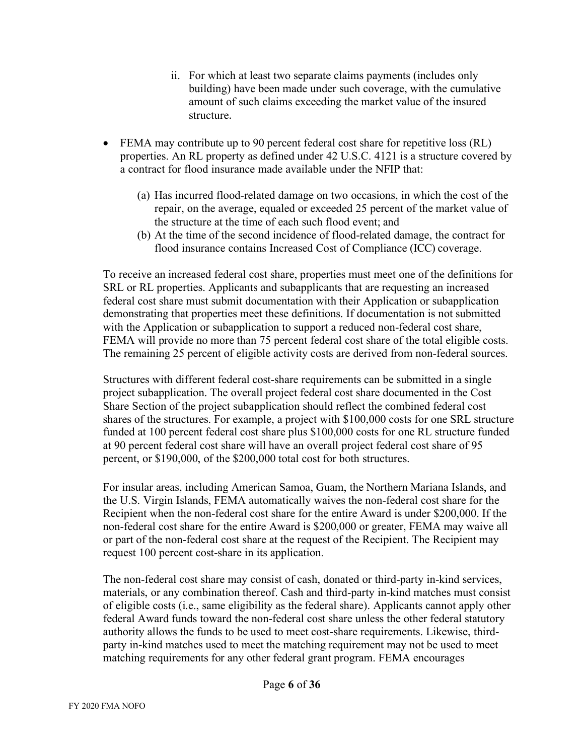- ii. For which at least two separate claims payments (includes only building) have been made under such coverage, with the cumulative amount of such claims exceeding the market value of the insured structure.
- FEMA may contribute up to 90 percent federal cost share for repetitive loss (RL) properties. An RL property as defined under 42 U.S.C. 4121 is a structure covered by a contract for flood insurance made available under the NFIP that:
	- (a) Has incurred flood-related damage on two occasions, in which the cost of the repair, on the average, equaled or exceeded 25 percent of the market value of the structure at the time of each such flood event; and
	- (b) At the time of the second incidence of flood-related damage, the contract for flood insurance contains Increased Cost of Compliance (ICC) coverage.

To receive an increased federal cost share, properties must meet one of the definitions for SRL or RL properties. Applicants and subapplicants that are requesting an increased federal cost share must submit documentation with their Application or subapplication demonstrating that properties meet these definitions. If documentation is not submitted with the Application or subapplication to support a reduced non-federal cost share, FEMA will provide no more than 75 percent federal cost share of the total eligible costs. The remaining 25 percent of eligible activity costs are derived from non-federal sources.

Structures with different federal cost-share requirements can be submitted in a single project subapplication. The overall project federal cost share documented in the Cost Share Section of the project subapplication should reflect the combined federal cost shares of the structures. For example, a project with \$100,000 costs for one SRL structure funded at 100 percent federal cost share plus \$100,000 costs for one RL structure funded at 90 percent federal cost share will have an overall project federal cost share of 95 percent, or \$190,000, of the \$200,000 total cost for both structures.

For insular areas, including American Samoa, Guam, the Northern Mariana Islands, and the U.S. Virgin Islands, FEMA automatically waives the non-federal cost share for the Recipient when the non-federal cost share for the entire Award is under \$200,000. If the non-federal cost share for the entire Award is \$200,000 or greater, FEMA may waive all or part of the non-federal cost share at the request of the Recipient. The Recipient may request 100 percent cost-share in its application.

The non-federal cost share may consist of cash, donated or third-party in-kind services, materials, or any combination thereof. Cash and third-party in-kind matches must consist of eligible costs (i.e., same eligibility as the federal share). Applicants cannot apply other federal Award funds toward the non-federal cost share unless the other federal statutory authority allows the funds to be used to meet cost-share requirements. Likewise, thirdparty in-kind matches used to meet the matching requirement may not be used to meet matching requirements for any other federal grant program. FEMA encourages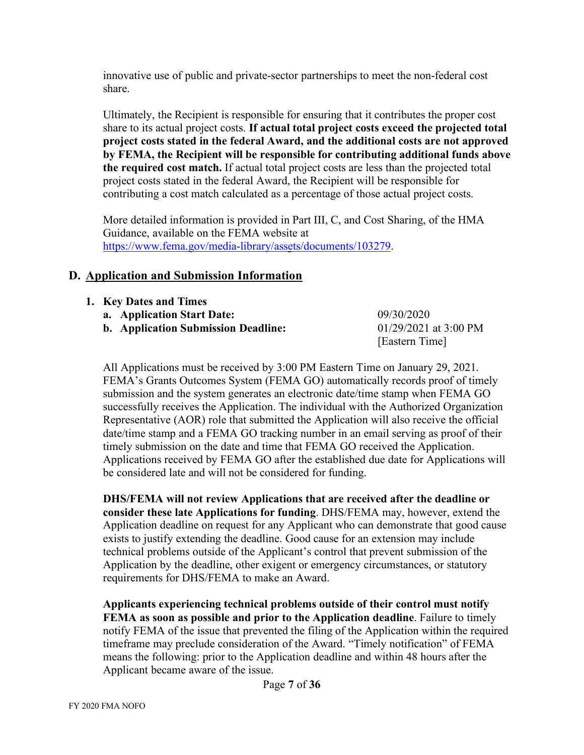innovative use of public and private-sector partnerships to meet the non-federal cost share.

Ultimately, the Recipient is responsible for ensuring that it contributes the proper cost share to its actual project costs. **If actual total project costs exceed the projected total project costs stated in the federal Award, and the additional costs are not approved by FEMA, the Recipient will be responsible for contributing additional funds above the required cost match.** If actual total project costs are less than the projected total project costs stated in the federal Award, the Recipient will be responsible for contributing a cost match calculated as a percentage of those actual project costs.

More detailed information is provided in Part III, C, and Cost Sharing, of the HMA Guidance, available on the FEMA website at [https://www.fema.gov/media-library/assets/documents/103279.](https://www.fema.gov/media-library/assets/documents/103279)

## **D. Application and Submission Information**

| 1. Key Dates and Times                     |                       |
|--------------------------------------------|-----------------------|
| a. Application Start Date:                 | 09/30/2020            |
| <b>b.</b> Application Submission Deadline: | 01/29/2021 at 3:00 PM |
|                                            | [Eastern Time]        |

All Applications must be received by 3:00 PM Eastern Time on January 29, 2021. FEMA's Grants Outcomes System (FEMA GO) automatically records proof of timely submission and the system generates an electronic date/time stamp when FEMA GO successfully receives the Application. The individual with the Authorized Organization Representative (AOR) role that submitted the Application will also receive the official date/time stamp and a FEMA GO tracking number in an email serving as proof of their timely submission on the date and time that FEMA GO received the Application. Applications received by FEMA GO after the established due date for Applications will be considered late and will not be considered for funding.

**DHS/FEMA will not review Applications that are received after the deadline or consider these late Applications for funding**. DHS/FEMA may, however, extend the Application deadline on request for any Applicant who can demonstrate that good cause exists to justify extending the deadline. Good cause for an extension may include technical problems outside of the Applicant's control that prevent submission of the Application by the deadline, other exigent or emergency circumstances, or statutory requirements for DHS/FEMA to make an Award.

**Applicants experiencing technical problems outside of their control must notify FEMA as soon as possible and prior to the Application deadline**. Failure to timely notify FEMA of the issue that prevented the filing of the Application within the required timeframe may preclude consideration of the Award. "Timely notification" of FEMA means the following: prior to the Application deadline and within 48 hours after the Applicant became aware of the issue.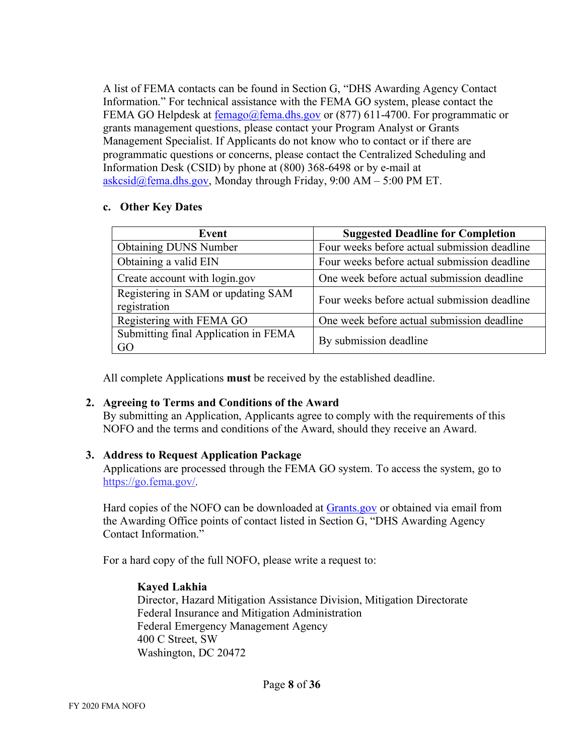A list of FEMA contacts can be found in Section G, "DHS Awarding Agency Contact Information." For technical assistance with the FEMA GO system, please contact the FEMA GO Helpdesk at <u>femago@fema.dhs.gov</u> or (877) 611-4700. For programmatic or grants management questions, please contact your Program Analyst or Grants Management Specialist. If Applicants do not know who to contact or if there are programmatic questions or concerns, please contact the Centralized Scheduling and Information Desk (CSID) by phone at (800) 368-6498 or by e-mail at  $a$ skcsid@fema.dhs.gov, Monday through Friday, 9:00 AM – 5:00 PM ET.

#### **c. Other Key Dates**

| Event                                              | <b>Suggested Deadline for Completion</b>     |
|----------------------------------------------------|----------------------------------------------|
| <b>Obtaining DUNS Number</b>                       | Four weeks before actual submission deadline |
| Obtaining a valid EIN                              | Four weeks before actual submission deadline |
| Create account with login.gov                      | One week before actual submission deadline   |
| Registering in SAM or updating SAM<br>registration | Four weeks before actual submission deadline |
| Registering with FEMA GO                           | One week before actual submission deadline   |
| Submitting final Application in FEMA<br>GO         | By submission deadline                       |

All complete Applications **must** be received by the established deadline.

#### **2. Agreeing to Terms and Conditions of the Award**

By submitting an Application, Applicants agree to comply with the requirements of this NOFO and the terms and conditions of the Award, should they receive an Award.

#### **3. Address to Request Application Package**

Applications are processed through the FEMA GO system. To access the system, go to [https://go.fema.gov/.](https://go.fema.gov/)

Hard copies of the NOFO can be downloaded at [Grants.gov](https://www.grants.gov/) or obtained via email from the Awarding Office points of contact listed in Section G, "DHS Awarding Agency Contact Information."

For a hard copy of the full NOFO, please write a request to:

#### **Kayed Lakhia**

Director, Hazard Mitigation Assistance Division, Mitigation Directorate Federal Insurance and Mitigation Administration Federal Emergency Management Agency 400 C Street, SW Washington, DC 20472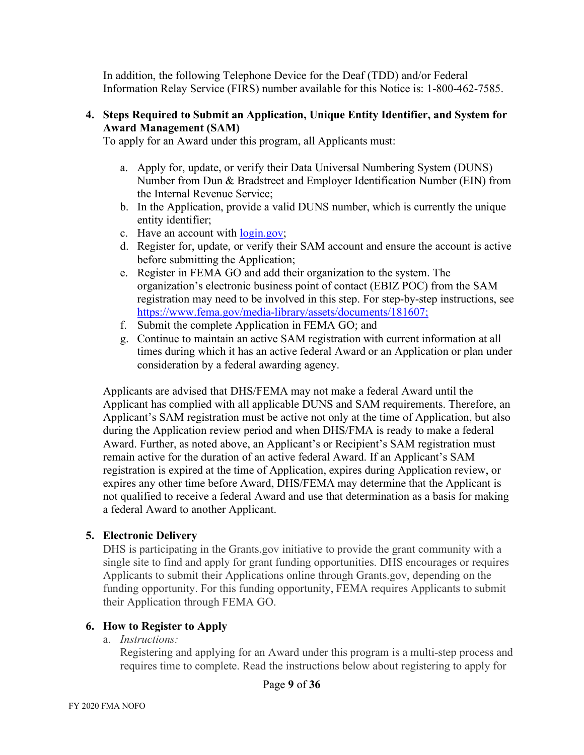In addition, the following Telephone Device for the Deaf (TDD) and/or Federal Information Relay Service (FIRS) number available for this Notice is: 1-800-462-7585.

#### **4. Steps Required to Submit an Application, Unique Entity Identifier, and System for Award Management (SAM)**

To apply for an Award under this program, all Applicants must:

- a. Apply for, update, or verify their Data Universal Numbering System (DUNS) Number from Dun & Bradstreet and Employer Identification Number (EIN) from the Internal Revenue Service;
- b. In the Application, provide a valid DUNS number, which is currently the unique entity identifier;
- c. Have an account with [login.gov;](https://www.login.gov/)
- d. Register for, update, or verify their SAM account and ensure the account is active before submitting the Application;
- e. Register in FEMA GO and add their organization to the system. The organization's electronic business point of contact (EBIZ POC) from the SAM registration may need to be involved in this step. For step-by-step instructions, see [https://www.fema.gov/media-library/assets/documents/181607;](https://www.fema.gov/media-library/assets/documents/181607)
- f. Submit the complete Application in FEMA GO; and
- g. Continue to maintain an active SAM registration with current information at all times during which it has an active federal Award or an Application or plan under consideration by a federal awarding agency.

Applicants are advised that DHS/FEMA may not make a federal Award until the Applicant has complied with all applicable DUNS and SAM requirements. Therefore, an Applicant's SAM registration must be active not only at the time of Application, but also during the Application review period and when DHS/FMA is ready to make a federal Award. Further, as noted above, an Applicant's or Recipient's SAM registration must remain active for the duration of an active federal Award. If an Applicant's SAM registration is expired at the time of Application, expires during Application review, or expires any other time before Award, DHS/FEMA may determine that the Applicant is not qualified to receive a federal Award and use that determination as a basis for making a federal Award to another Applicant.

#### **5. Electronic Delivery**

DHS is participating in the Grants.gov initiative to provide the grant community with a single site to find and apply for grant funding opportunities. DHS encourages or requires Applicants to submit their Applications online through Grants.gov, depending on the funding opportunity. For this funding opportunity, FEMA requires Applicants to submit their Application through FEMA GO.

#### **6. How to Register to Apply**

a. *Instructions:*

Registering and applying for an Award under this program is a multi-step process and requires time to complete. Read the instructions below about registering to apply for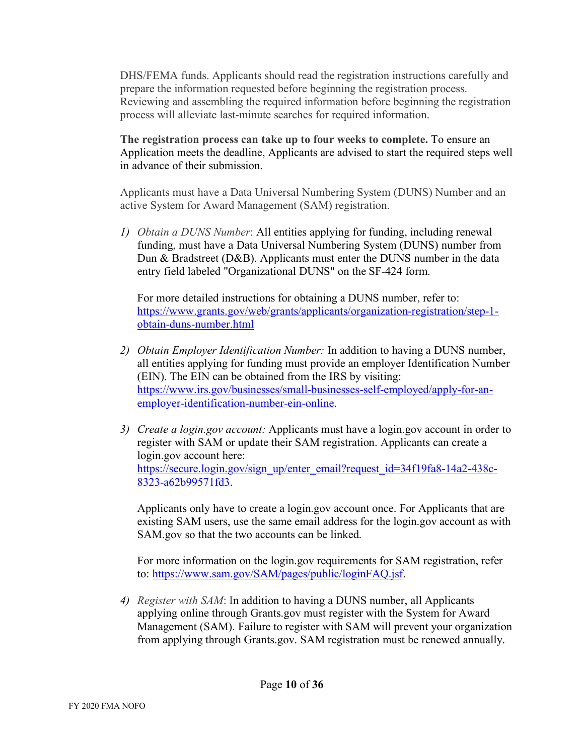DHS/FEMA funds. Applicants should read the registration instructions carefully and prepare the information requested before beginning the registration process. Reviewing and assembling the required information before beginning the registration process will alleviate last-minute searches for required information.

**The registration process can take up to four weeks to complete.** To ensure an Application meets the deadline, Applicants are advised to start the required steps well in advance of their submission.

Applicants must have a Data Universal Numbering System (DUNS) Number and an active System for Award Management (SAM) registration.

*1) Obtain a DUNS Number*: All entities applying for funding, including renewal funding, must have a Data Universal Numbering System (DUNS) number from Dun & Bradstreet (D&B). Applicants must enter the DUNS number in the data entry field labeled "Organizational DUNS" on the SF-424 form.

For more detailed instructions for obtaining a DUNS number, refer to: [https://www.grants.gov/web/grants/applicants/organization-registration/step-1](https://www.grants.gov/web/grants/applicants/organization-registration/step-1-obtain-duns-number.html) [obtain-duns-number.html](https://www.grants.gov/web/grants/applicants/organization-registration/step-1-obtain-duns-number.html)

- *2) Obtain Employer Identification Number:* In addition to having a DUNS number, all entities applying for funding must provide an employer Identification Number (EIN). The EIN can be obtained from the IRS by visiting: [https://www.irs.gov/businesses/small-businesses-self-employed/apply-for-an](https://www.irs.gov/businesses/small-businesses-self-employed/apply-for-an-employer-identification-number-ein-online)[employer-identification-number-ein-online.](https://www.irs.gov/businesses/small-businesses-self-employed/apply-for-an-employer-identification-number-ein-online)
- *3) Create a login.gov account:* Applicants must have a login.gov account in order to register with SAM or update their SAM registration. Applicants can create a login.gov account here: [https://secure.login.gov/sign\\_up/enter\\_email?request\\_id=34f19fa8-14a2-438c-](https://secure.login.gov/sign_up/enter_email?request_id=34f19fa8-14a2-438c-8323-a62b99571fd3)[8323-a62b99571fd3.](https://secure.login.gov/sign_up/enter_email?request_id=34f19fa8-14a2-438c-8323-a62b99571fd3)

Applicants only have to create a login.gov account once. For Applicants that are existing SAM users, use the same email address for the login.gov account as with SAM.gov so that the two accounts can be linked.

For more information on the login.gov requirements for SAM registration, refer to: [https://www.sam.gov/SAM/pages/public/loginFAQ.jsf.](https://www.sam.gov/SAM/pages/public/loginFAQ.jsf)

*4) Register with SAM*: In addition to having a DUNS number, all Applicants applying online through Grants.gov must register with the System for Award Management (SAM). Failure to register with SAM will prevent your organization from applying through Grants.gov. SAM registration must be renewed annually.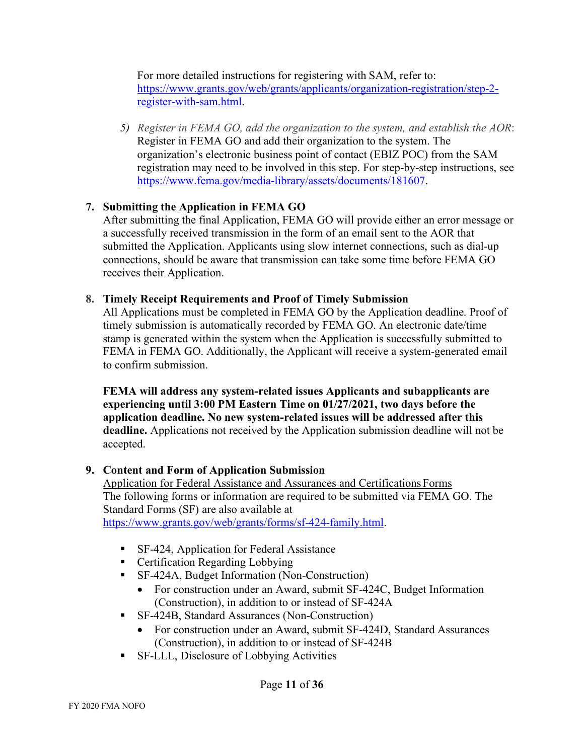For more detailed instructions for registering with SAM, refer to: [https://www.grants.gov/web/grants/applicants/organization-registration/step-2](https://www.grants.gov/web/grants/applicants/organization-registration/step-2-register-with-sam.html) [register-with-sam.html.](https://www.grants.gov/web/grants/applicants/organization-registration/step-2-register-with-sam.html)

*5) Register in FEMA GO, add the organization to the system, and establish the AOR*: Register in FEMA GO and add their organization to the system. The organization's electronic business point of contact (EBIZ POC) from the SAM registration may need to be involved in this step. For step-by-step instructions, see [https://www.fema.gov/media-library/assets/documents/181607.](https://www.fema.gov/media-library/assets/documents/181607)

## **7. Submitting the Application in FEMA GO**

After submitting the final Application, FEMA GO will provide either an error message or a successfully received transmission in the form of an email sent to the AOR that submitted the Application. Applicants using slow internet connections, such as dial-up connections, should be aware that transmission can take some time before FEMA GO receives their Application.

## **8. Timely Receipt Requirements and Proof of Timely Submission**

All Applications must be completed in FEMA GO by the Application deadline. Proof of timely submission is automatically recorded by FEMA GO. An electronic date/time stamp is generated within the system when the Application is successfully submitted to FEMA in FEMA GO. Additionally, the Applicant will receive a system-generated email to confirm submission.

**FEMA will address any system-related issues Applicants and subapplicants are experiencing until 3:00 PM Eastern Time on 01/27/2021, two days before the application deadline. No new system-related issues will be addressed after this deadline.** Applications not received by the Application submission deadline will not be accepted.

# **9. Content and Form of Application Submission**

Application for Federal Assistance and Assurances and CertificationsForms The following forms or information are required to be submitted via FEMA GO. The Standard Forms (SF) are also available at

[https://www.grants.gov/web/grants/forms/sf-424-family.html.](https://www.grants.gov/web/grants/forms/sf-424-family.html)

- SF-424, Application for Federal Assistance
- Certification Regarding Lobbying
- SF-424A, Budget Information (Non-Construction)
	- For construction under an Award, submit SF-424C, Budget Information (Construction), in addition to or instead of SF-424A
- SF-424B, Standard Assurances (Non-Construction)
	- For construction under an Award, submit SF-424D, Standard Assurances (Construction), in addition to or instead of SF-424B
- SF-LLL, Disclosure of Lobbying Activities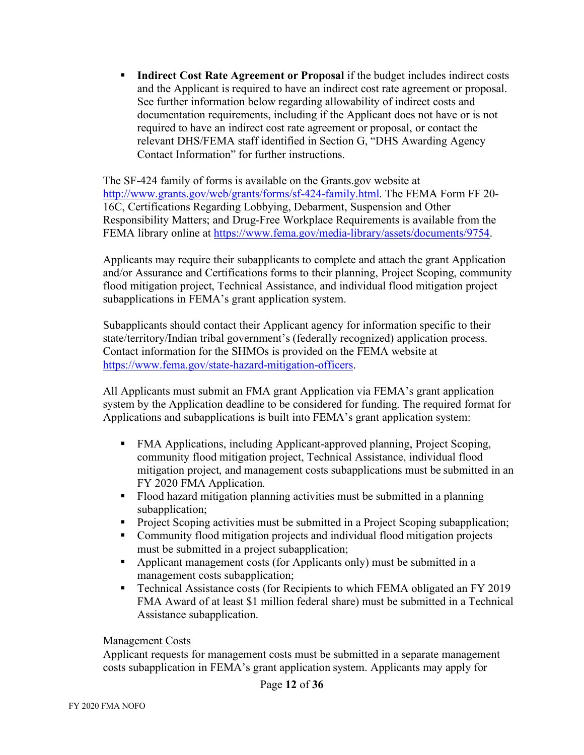**Indirect Cost Rate Agreement or Proposal** if the budget includes indirect costs and the Applicant is required to have an indirect cost rate agreement or proposal. See further information below regarding allowability of indirect costs and documentation requirements, including if the Applicant does not have or is not required to have an indirect cost rate agreement or proposal, or contact the relevant DHS/FEMA staff identified in Section G, "DHS Awarding Agency Contact Information" for further instructions.

The SF-424 family of forms is available on the Grants.gov website at [http://www.grants.gov/web/grants/forms/sf-424-family.html.](http://www.grants.gov/web/grants/forms/sf-424-family.html) The FEMA Form FF 20-16C, Certifications Regarding Lobbying, Debarment, Suspension and Other Responsibility Matters; and Drug-Free Workplace Requirements is available from the FEMA library online at [https://www.fema.gov/media-library/assets/documents/9754.](https://www.fema.gov/media-library/assets/documents/9754)

Applicants may require their subapplicants to complete and attach the grant Application and/or Assurance and Certifications forms to their planning, Project Scoping, community flood mitigation project, Technical Assistance, and individual flood mitigation project subapplications in FEMA's grant application system.

Subapplicants should contact their Applicant agency for information specific to their state/territory/Indian tribal government's (federally recognized) application process. Contact information for the SHMOs is provided on the FEMA website at [https://www.fema.gov/state-hazard-mitigation-officers.](https://www.fema.gov/state-hazard-mitigation-officers)

All Applicants must submit an FMA grant Application via FEMA's grant application system by the Application deadline to be considered for funding. The required format for Applications and subapplications is built into FEMA's grant application system:

- FMA Applications, including Applicant-approved planning, Project Scoping, community flood mitigation project, Technical Assistance, individual flood mitigation project, and management costs subapplications must be submitted in an FY 2020 FMA Application.
- Flood hazard mitigation planning activities must be submitted in a planning subapplication:
- Project Scoping activities must be submitted in a Project Scoping subapplication;
- Community flood mitigation projects and individual flood mitigation projects must be submitted in a project subapplication;
- **•** Applicant management costs (for Applicants only) must be submitted in a management costs subapplication;
- Technical Assistance costs (for Recipients to which FEMA obligated an FY 2019) FMA Award of at least \$1 million federal share) must be submitted in a Technical Assistance subapplication.

#### Management Costs

Applicant requests for management costs must be submitted in a separate management costs subapplication in FEMA's grant application system. Applicants may apply for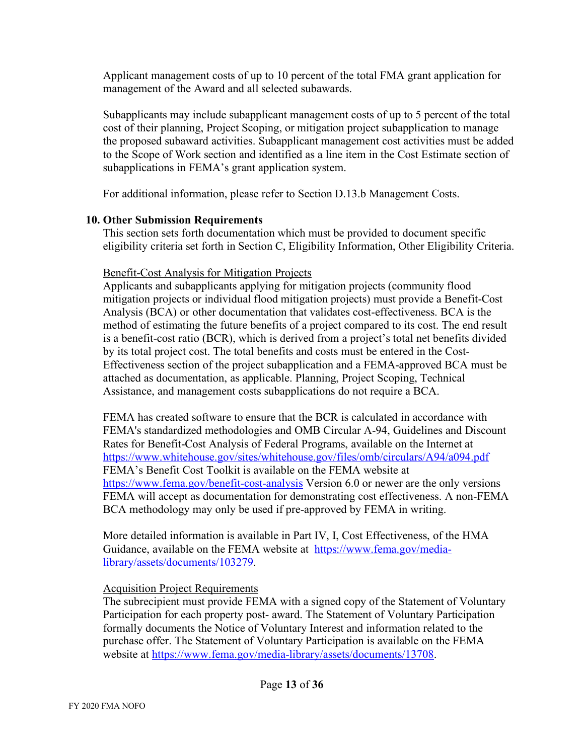Applicant management costs of up to 10 percent of the total FMA grant application for management of the Award and all selected subawards.

Subapplicants may include subapplicant management costs of up to 5 percent of the total cost of their planning, Project Scoping, or mitigation project subapplication to manage the proposed subaward activities. Subapplicant management cost activities must be added to the Scope of Work section and identified as a line item in the Cost Estimate section of subapplications in FEMA's grant application system.

For additional information, please refer to Section D.13.b Management Costs.

#### **10. Other Submission Requirements**

This section sets forth documentation which must be provided to document specific eligibility criteria set forth in Section C, Eligibility Information, Other Eligibility Criteria.

## Benefit-Cost Analysis for Mitigation Projects

Applicants and subapplicants applying for mitigation projects (community flood mitigation projects or individual flood mitigation projects) must provide a Benefit-Cost Analysis (BCA) or other documentation that validates cost-effectiveness. BCA is the method of estimating the future benefits of a project compared to its cost. The end result is a benefit-cost ratio (BCR), which is derived from a project's total net benefits divided by its total project cost. The total benefits and costs must be entered in the Cost-Effectiveness section of the project subapplication and a FEMA-approved BCA must be attached as documentation, as applicable. Planning, Project Scoping, Technical Assistance, and management costs subapplications do not require a BCA.

FEMA has created software to ensure that the BCR is calculated in accordance with FEMA's standardized methodologies and OMB Circular A-94, Guidelines and Discount Rates for Benefit-Cost Analysis of Federal Programs, available on the Internet at <https://www.whitehouse.gov/sites/whitehouse.gov/files/omb/circulars/A94/a094.pdf> FEMA's Benefit Cost Toolkit is available on the FEMA website at <https://www.fema.gov/benefit-cost-analysis> Version 6.0 or newer are the only versions FEMA will accept as documentation for demonstrating cost effectiveness. A non-FEMA BCA methodology may only be used if pre-approved by FEMA in writing.

More detailed information is available in Part IV, I, Cost Effectiveness, of the HMA Guidance, available on the FEMA website at [https://www.fema.gov/media](https://www.fema.gov/media-library/assets/documents/103279)[library/assets/documents/103279.](https://www.fema.gov/media-library/assets/documents/103279)

# Acquisition Project Requirements

The subrecipient must provide FEMA with a signed copy of the Statement of Voluntary Participation for each property post- award. The Statement of Voluntary Participation formally documents the Notice of Voluntary Interest and information related to the purchase offer. The Statement of Voluntary Participation is available on the FEMA website at [https://www.fema.gov/media-library/assets/documents/13708.](https://www.fema.gov/media-library/assets/documents/13708)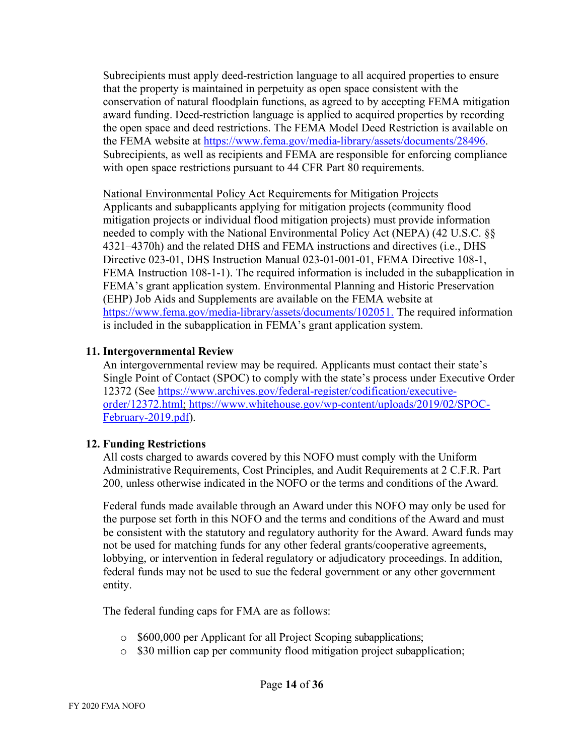Subrecipients must apply deed-restriction language to all acquired properties to ensure that the property is maintained in perpetuity as open space consistent with the conservation of natural floodplain functions, as agreed to by accepting FEMA mitigation award funding. Deed-restriction language is applied to acquired properties by recording the open space and deed restrictions. The FEMA Model Deed Restriction is available on the FEMA website at [https://www.fema.gov/media-library/assets/documents/28496.](https://www.fema.gov/media-library/assets/documents/28496) Subrecipients, as well as recipients and FEMA are responsible for enforcing compliance with open space restrictions pursuant to 44 CFR Part 80 requirements.

#### National Environmental Policy Act Requirements for Mitigation Projects

Applicants and subapplicants applying for mitigation projects (community flood mitigation projects or individual flood mitigation projects) must provide information needed to comply with the National Environmental Policy Act (NEPA) (42 U.S.C. §§ 4321–4370h) and the related DHS and FEMA instructions and directives (i.e., DHS Directive 023-01, DHS Instruction Manual 023-01-001-01, FEMA Directive 108-1, FEMA Instruction 108-1-1). The required information is included in the subapplication in FEMA's grant application system. Environmental Planning and Historic Preservation (EHP) Job Aids and Supplements are available on the FEMA website at [https://www.fema.gov/media-library/assets/documents/102051.](https://www.fema.gov/media-library/assets/documents/102051) The required information is included in the subapplication in FEMA's grant application system.

## **11. Intergovernmental Review**

An intergovernmental review may be required. Applicants must contact their state's Single Point of Contact (SPOC) to comply with the state's process under Executive Order 12372 (See [https://www.archives.gov/federal-register/codification/executive](https://www.archives.gov/federal-register/codification/executive-order/12372.html)[order/12372.html;](https://www.archives.gov/federal-register/codification/executive-order/12372.html) [https://www.whitehouse.gov/wp-content/uploads/2019/02/SPOC-](https://www.whitehouse.gov/wp-content/uploads/2019/02/SPOC-February-2019.pdf)[February-2019.pdf\)](https://www.whitehouse.gov/wp-content/uploads/2019/02/SPOC-February-2019.pdf).

#### **12. Funding Restrictions**

All costs charged to awards covered by this NOFO must comply with the Uniform Administrative Requirements, Cost Principles, and Audit Requirements at 2 C.F.R. Part 200, unless otherwise indicated in the NOFO or the terms and conditions of the Award.

Federal funds made available through an Award under this NOFO may only be used for the purpose set forth in this NOFO and the terms and conditions of the Award and must be consistent with the statutory and regulatory authority for the Award. Award funds may not be used for matching funds for any other federal grants/cooperative agreements, lobbying, or intervention in federal regulatory or adjudicatory proceedings. In addition, federal funds may not be used to sue the federal government or any other government entity.

The federal funding caps for FMA are as follows:

- o \$600,000 per Applicant for all Project Scoping subapplications;
- o \$30 million cap per community flood mitigation project subapplication;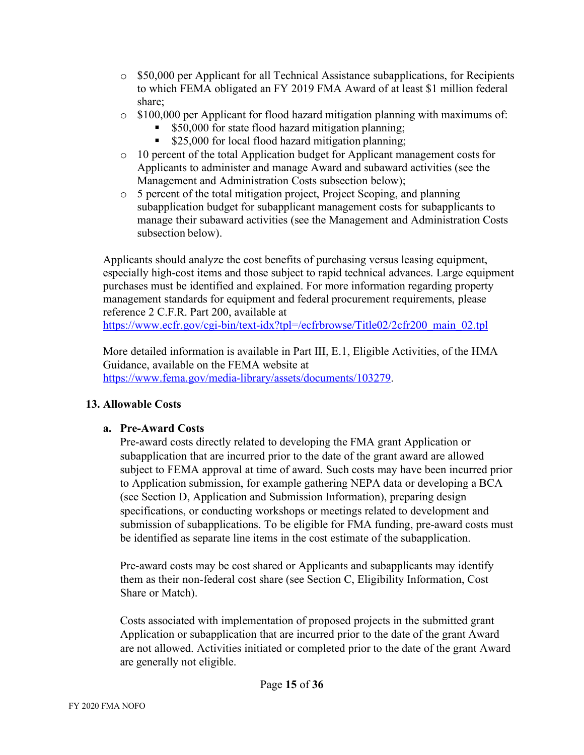- o \$50,000 per Applicant for all Technical Assistance subapplications, for Recipients to which FEMA obligated an FY 2019 FMA Award of at least \$1 million federal share;
- $\circ$  \$100,000 per Applicant for flood hazard mitigation planning with maximums of:
	- \$50,000 for state flood hazard mitigation planning;
	- \$25,000 for local flood hazard mitigation planning;
- $\circ$  10 percent of the total Application budget for Applicant management costs for Applicants to administer and manage Award and subaward activities (see the Management and Administration Costs subsection below);
- o 5 percent of the total mitigation project, Project Scoping, and planning subapplication budget for subapplicant management costs for subapplicants to manage their subaward activities (see the Management and Administration Costs subsection below).

Applicants should analyze the cost benefits of purchasing versus leasing equipment, especially high-cost items and those subject to rapid technical advances. Large equipment purchases must be identified and explained. For more information regarding property management standards for equipment and federal procurement requirements, please reference 2 C.F.R. Part 200, available at

https://www.ecfr.gov/cgi-bin/text-idx?tpl=/ecfrbrowse/Title02/2cfr200 main 02.tpl

More detailed information is available in Part III, E.1, Eligible Activities, of the HMA Guidance, available on the FEMA website at [https://www.fema.gov/media-library/assets/documents/103279.](https://www.fema.gov/media-library/assets/documents/103279)

# **13. Allowable Costs**

# **a. Pre-Award Costs**

Pre-award costs directly related to developing the FMA grant Application or subapplication that are incurred prior to the date of the grant award are allowed subject to FEMA approval at time of award. Such costs may have been incurred prior to Application submission, for example gathering NEPA data or developing a BCA (see Section D, Application and Submission Information), preparing design specifications, or conducting workshops or meetings related to development and submission of subapplications. To be eligible for FMA funding, pre-award costs must be identified as separate line items in the cost estimate of the subapplication.

Pre-award costs may be cost shared or Applicants and subapplicants may identify them as their non-federal cost share (see Section C, Eligibility Information, Cost Share or Match).

Costs associated with implementation of proposed projects in the submitted grant Application or subapplication that are incurred prior to the date of the grant Award are not allowed. Activities initiated or completed prior to the date of the grant Award are generally not eligible.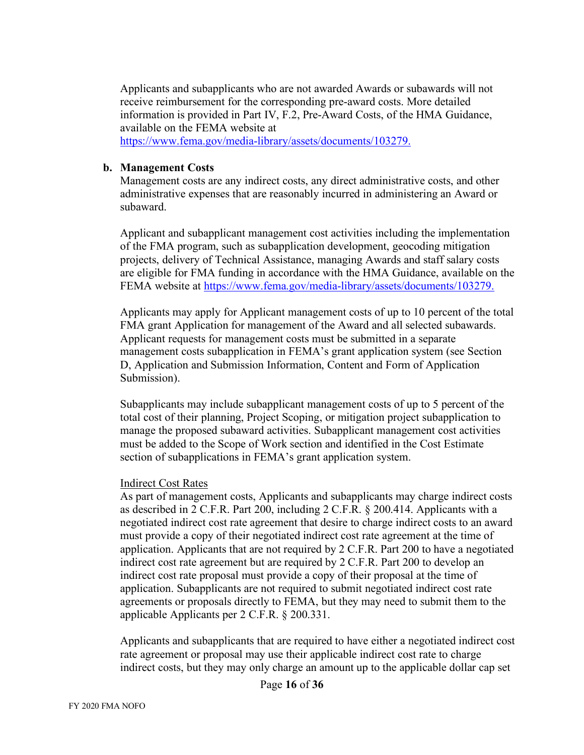Applicants and subapplicants who are not awarded Awards or subawards will not receive reimbursement for the corresponding pre-award costs. More detailed information is provided in Part IV, F.2, Pre-Award Costs, of the HMA Guidance, available on the FEMA website at [https://www.fema.gov/media-library/assets/documents/103279.](https://www.fema.gov/media-library/assets/documents/103279)

#### **b. Management Costs**

Management costs are any indirect costs, any direct administrative costs, and other administrative expenses that are reasonably incurred in administering an Award or subaward.

Applicant and subapplicant management cost activities including the implementation of the FMA program, such as subapplication development, geocoding mitigation projects, delivery of Technical Assistance, managing Awards and staff salary costs are eligible for FMA funding in accordance with the HMA Guidance, available on the FEMA website at [https://www.fema.gov/media-library/assets/documents/103279.](https://www.fema.gov/media-library/assets/documents/103279)

Applicants may apply for Applicant management costs of up to 10 percent of the total FMA grant Application for management of the Award and all selected subawards. Applicant requests for management costs must be submitted in a separate management costs subapplication in FEMA's grant application system (see Section D, Application and Submission Information, Content and Form of Application Submission).

Subapplicants may include subapplicant management costs of up to 5 percent of the total cost of their planning, Project Scoping, or mitigation project subapplication to manage the proposed subaward activities. Subapplicant management cost activities must be added to the Scope of Work section and identified in the Cost Estimate section of subapplications in FEMA's grant application system.

#### Indirect Cost Rates

As part of management costs, Applicants and subapplicants may charge indirect costs as described in 2 C.F.R. Part 200, including 2 C.F.R. § 200.414. Applicants with a negotiated indirect cost rate agreement that desire to charge indirect costs to an award must provide a copy of their negotiated indirect cost rate agreement at the time of application. Applicants that are not required by 2 C.F.R. Part 200 to have a negotiated indirect cost rate agreement but are required by 2 C.F.R. Part 200 to develop an indirect cost rate proposal must provide a copy of their proposal at the time of application. Subapplicants are not required to submit negotiated indirect cost rate agreements or proposals directly to FEMA, but they may need to submit them to the applicable Applicants per 2 C.F.R. § 200.331.

Applicants and subapplicants that are required to have either a negotiated indirect cost rate agreement or proposal may use their applicable indirect cost rate to charge indirect costs, but they may only charge an amount up to the applicable dollar cap set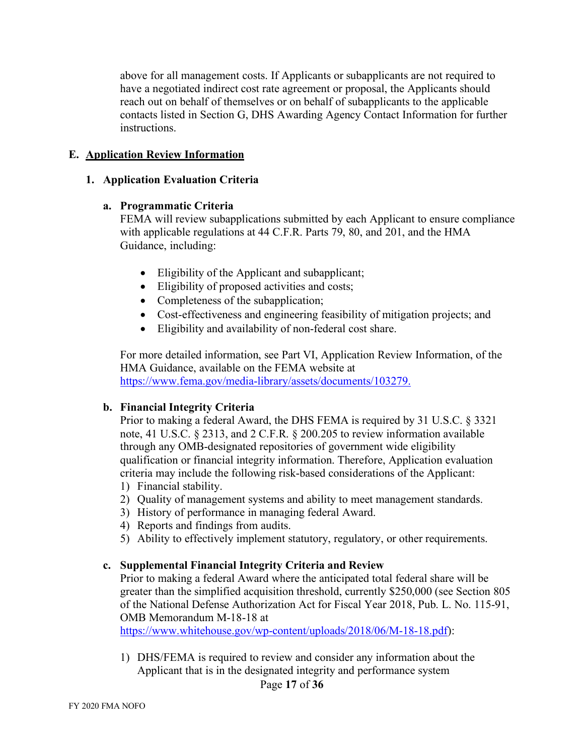above for all management costs. If Applicants or subapplicants are not required to have a negotiated indirect cost rate agreement or proposal, the Applicants should reach out on behalf of themselves or on behalf of subapplicants to the applicable contacts listed in Section G, DHS Awarding Agency Contact Information for further instructions.

#### **E. Application Review Information**

#### **1. Application Evaluation Criteria**

#### **a. Programmatic Criteria**

FEMA will review subapplications submitted by each Applicant to ensure compliance with applicable regulations at 44 C.F.R. Parts 79, 80, and 201, and the HMA Guidance, including:

- Eligibility of the Applicant and subapplicant;
- Eligibility of proposed activities and costs;
- Completeness of the subapplication;
- Cost-effectiveness and engineering feasibility of mitigation projects; and
- Eligibility and availability of non-federal cost share.

For more detailed information, see Part VI, Application Review Information, of the HMA Guidance, available on the FEMA website at [https://www.fema.gov/media-library/assets/documents/103279.](https://www.fema.gov/media-library/assets/documents/103279)

#### **b. Financial Integrity Criteria**

Prior to making a federal Award, the DHS FEMA is required by 31 U.S.C. § 3321 note, 41 U.S.C. § 2313, and 2 C.F.R. § 200.205 to review information available through any OMB-designated repositories of government wide eligibility qualification or financial integrity information. Therefore, Application evaluation criteria may include the following risk-based considerations of the Applicant:

- 1) Financial stability.
- 2) Quality of management systems and ability to meet management standards.
- 3) History of performance in managing federal Award.
- 4) Reports and findings from audits.
- 5) Ability to effectively implement statutory, regulatory, or other requirements.

#### **c. Supplemental Financial Integrity Criteria and Review**

Prior to making a federal Award where the anticipated total federal share will be greater than the simplified acquisition threshold, currently \$250,000 (see Section 805 of the National Defense Authorization Act for Fiscal Year 2018, Pub. L. No. 115-91, OMB Memorandum M-18-18 at

[https://www.whitehouse.gov/wp-content/uploads/2018/06/M-18-18.pdf\)](https://www.whitehouse.gov/wp-content/uploads/2018/06/M-18-18.pdf):

1) DHS/FEMA is required to review and consider any information about the Applicant that is in the designated integrity and performance system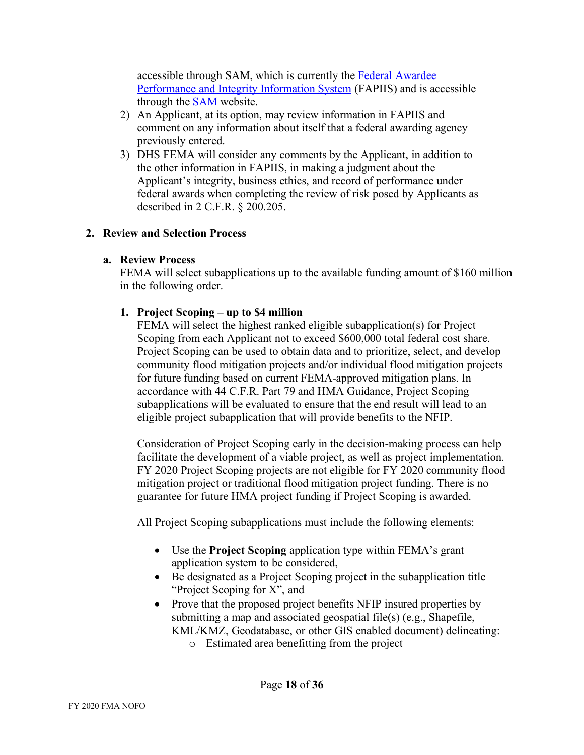accessible through SAM, which is currently the [Federal Awardee](https://www.fapiis.gov/fapiis/index.action)  [Performance and Integrity Information System](https://www.fapiis.gov/fapiis/index.action) (FAPIIS) and is accessible through the [SAM](https://www.sam.gov/SAM/) website.

- 2) An Applicant, at its option, may review information in FAPIIS and comment on any information about itself that a federal awarding agency previously entered.
- 3) DHS FEMA will consider any comments by the Applicant, in addition to the other information in FAPIIS, in making a judgment about the Applicant's integrity, business ethics, and record of performance under federal awards when completing the review of risk posed by Applicants as described in 2 C.F.R. § 200.205.

#### **2. Review and Selection Process**

#### **a. Review Process**

FEMA will select subapplications up to the available funding amount of \$160 million in the following order.

# **1. Project Scoping – up to \$4 million**

FEMA will select the highest ranked eligible subapplication(s) for Project Scoping from each Applicant not to exceed \$600,000 total federal cost share. Project Scoping can be used to obtain data and to prioritize, select, and develop community flood mitigation projects and/or individual flood mitigation projects for future funding based on current FEMA-approved mitigation plans. In accordance with 44 C.F.R. Part 79 and HMA Guidance, Project Scoping subapplications will be evaluated to ensure that the end result will lead to an eligible project subapplication that will provide benefits to the NFIP.

Consideration of Project Scoping early in the decision-making process can help facilitate the development of a viable project, as well as project implementation. FY 2020 Project Scoping projects are not eligible for FY 2020 community flood mitigation project or traditional flood mitigation project funding. There is no guarantee for future HMA project funding if Project Scoping is awarded.

All Project Scoping subapplications must include the following elements:

- Use the **Project Scoping** application type within FEMA's grant application system to be considered,
- Be designated as a Project Scoping project in the subapplication title "Project Scoping for X", and
- Prove that the proposed project benefits NFIP insured properties by submitting a map and associated geospatial file(s) (e.g., Shapefile, KML/KMZ, Geodatabase, or other GIS enabled document) delineating:
	- o Estimated area benefitting from the project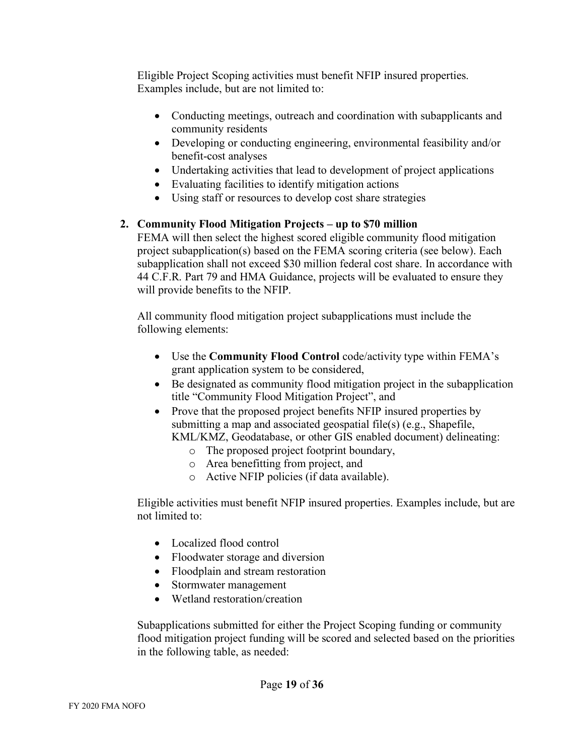Eligible Project Scoping activities must benefit NFIP insured properties. Examples include, but are not limited to:

- Conducting meetings, outreach and coordination with subapplicants and community residents
- Developing or conducting engineering, environmental feasibility and/or benefit-cost analyses
- Undertaking activities that lead to development of project applications
- Evaluating facilities to identify mitigation actions
- Using staff or resources to develop cost share strategies

## **2. Community Flood Mitigation Projects – up to \$70 million**

FEMA will then select the highest scored eligible community flood mitigation project subapplication(s) based on the FEMA scoring criteria (see below). Each subapplication shall not exceed \$30 million federal cost share. In accordance with 44 C.F.R. Part 79 and HMA Guidance, projects will be evaluated to ensure they will provide benefits to the NFIP.

All community flood mitigation project subapplications must include the following elements:

- Use the **Community Flood Control** code/activity type within FEMA's grant application system to be considered,
- Be designated as community flood mitigation project in the subapplication title "Community Flood Mitigation Project", and
- Prove that the proposed project benefits NFIP insured properties by submitting a map and associated geospatial file(s) (e.g., Shapefile,

KML/KMZ, Geodatabase, or other GIS enabled document) delineating:

- o The proposed project footprint boundary,
- o Area benefitting from project, and
- o Active NFIP policies (if data available).

Eligible activities must benefit NFIP insured properties. Examples include, but are not limited to:

- Localized flood control
- Floodwater storage and diversion
- Floodplain and stream restoration
- Stormwater management
- Wetland restoration/creation

Subapplications submitted for either the Project Scoping funding or community flood mitigation project funding will be scored and selected based on the priorities in the following table, as needed: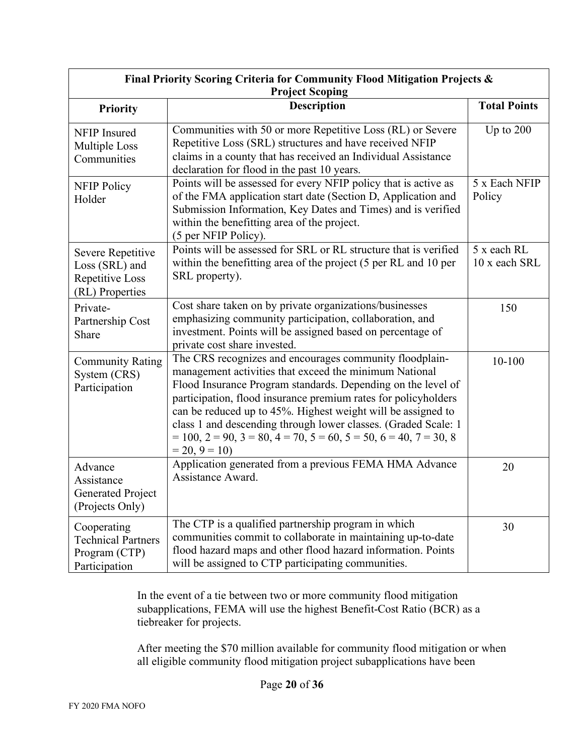| Final Priority Scoring Criteria for Community Flood Mitigation Projects &<br><b>Project Scoping</b> |                                                                                                                                                                                                                                                                                                                                                                                                                                                                                                     |                              |  |
|-----------------------------------------------------------------------------------------------------|-----------------------------------------------------------------------------------------------------------------------------------------------------------------------------------------------------------------------------------------------------------------------------------------------------------------------------------------------------------------------------------------------------------------------------------------------------------------------------------------------------|------------------------------|--|
| <b>Priority</b>                                                                                     | <b>Description</b>                                                                                                                                                                                                                                                                                                                                                                                                                                                                                  | <b>Total Points</b>          |  |
| NFIP Insured<br>Multiple Loss<br>Communities                                                        | Communities with 50 or more Repetitive Loss (RL) or Severe<br>Repetitive Loss (SRL) structures and have received NFIP<br>claims in a county that has received an Individual Assistance<br>declaration for flood in the past 10 years.                                                                                                                                                                                                                                                               | Up to $200$                  |  |
| <b>NFIP Policy</b><br>Holder                                                                        | Points will be assessed for every NFIP policy that is active as<br>of the FMA application start date (Section D, Application and<br>Submission Information, Key Dates and Times) and is verified<br>within the benefitting area of the project.<br>(5 per NFIP Policy).                                                                                                                                                                                                                             | 5 x Each NFIP<br>Policy      |  |
| Severe Repetitive<br>Loss (SRL) and<br>Repetitive Loss<br>(RL) Properties                           | Points will be assessed for SRL or RL structure that is verified<br>within the benefitting area of the project (5 per RL and 10 per<br>SRL property).                                                                                                                                                                                                                                                                                                                                               | 5 x each RL<br>10 x each SRL |  |
| Private-<br>Partnership Cost<br>Share                                                               | Cost share taken on by private organizations/businesses<br>emphasizing community participation, collaboration, and<br>investment. Points will be assigned based on percentage of<br>private cost share invested.                                                                                                                                                                                                                                                                                    | 150                          |  |
| <b>Community Rating</b><br>System (CRS)<br>Participation                                            | The CRS recognizes and encourages community floodplain-<br>management activities that exceed the minimum National<br>Flood Insurance Program standards. Depending on the level of<br>participation, flood insurance premium rates for policyholders<br>can be reduced up to 45%. Highest weight will be assigned to<br>class 1 and descending through lower classes. (Graded Scale: 1<br>$= 100$ , $2 = 90$ , $3 = 80$ , $4 = 70$ , $5 = 60$ , $5 = 50$ , $6 = 40$ , $7 = 30$ , 8<br>$= 20, 9 = 10$ | 10-100                       |  |
| Advance<br>Assistance<br><b>Generated Project</b><br>(Projects Only)                                | Application generated from a previous FEMA HMA Advance<br>Assistance Award.                                                                                                                                                                                                                                                                                                                                                                                                                         | 20                           |  |
| Cooperating<br><b>Technical Partners</b><br>Program (CTP)<br>Participation                          | The CTP is a qualified partnership program in which<br>communities commit to collaborate in maintaining up-to-date<br>flood hazard maps and other flood hazard information. Points<br>will be assigned to CTP participating communities.                                                                                                                                                                                                                                                            | 30                           |  |

In the event of a tie between two or more community flood mitigation subapplications, FEMA will use the highest Benefit-Cost Ratio (BCR) as a tiebreaker for projects.

After meeting the \$70 million available for community flood mitigation or when all eligible community flood mitigation project subapplications have been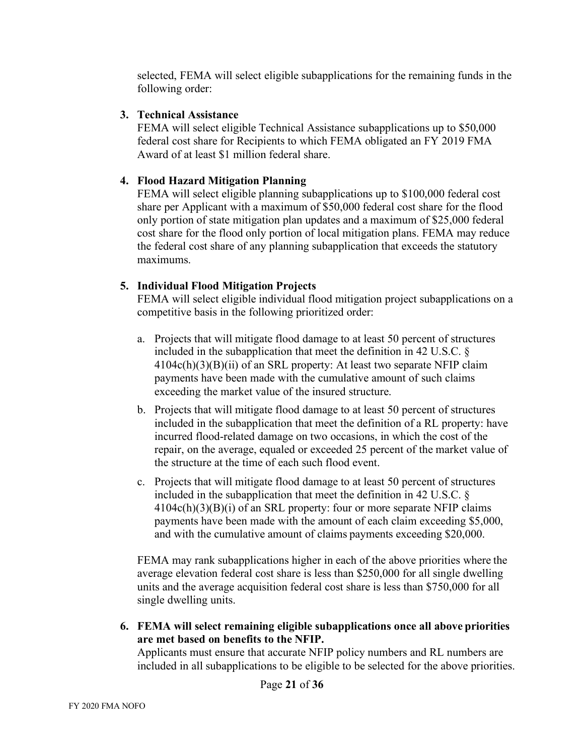selected, FEMA will select eligible subapplications for the remaining funds in the following order:

#### **3. Technical Assistance**

FEMA will select eligible Technical Assistance subapplications up to \$50,000 federal cost share for Recipients to which FEMA obligated an FY 2019 FMA Award of at least \$1 million federal share.

#### **4. Flood Hazard Mitigation Planning**

FEMA will select eligible planning subapplications up to \$100,000 federal cost share per Applicant with a maximum of \$50,000 federal cost share for the flood only portion of state mitigation plan updates and a maximum of \$25,000 federal cost share for the flood only portion of local mitigation plans. FEMA may reduce the federal cost share of any planning subapplication that exceeds the statutory maximums.

## **5. Individual Flood Mitigation Projects**

FEMA will select eligible individual flood mitigation project subapplications on a competitive basis in the following prioritized order:

- a. Projects that will mitigate flood damage to at least 50 percent of structures included in the subapplication that meet the definition in 42 U.S.C. §  $4104c(h)(3)(B)(ii)$  of an SRL property: At least two separate NFIP claim payments have been made with the cumulative amount of such claims exceeding the market value of the insured structure.
- b. Projects that will mitigate flood damage to at least 50 percent of structures included in the subapplication that meet the definition of a RL property: have incurred flood-related damage on two occasions, in which the cost of the repair, on the average, equaled or exceeded 25 percent of the market value of the structure at the time of each such flood event.
- c. Projects that will mitigate flood damage to at least 50 percent of structures included in the subapplication that meet the definition in 42 U.S.C. §  $4104c(h)(3)(B)(i)$  of an SRL property: four or more separate NFIP claims payments have been made with the amount of each claim exceeding \$5,000, and with the cumulative amount of claims payments exceeding \$20,000.

FEMA may rank subapplications higher in each of the above priorities where the average elevation federal cost share is less than \$250,000 for all single dwelling units and the average acquisition federal cost share is less than \$750,000 for all single dwelling units.

**6. FEMA will select remaining eligible subapplications once all above priorities are met based on benefits to the NFIP.** 

Applicants must ensure that accurate NFIP policy numbers and RL numbers are included in all subapplications to be eligible to be selected for the above priorities.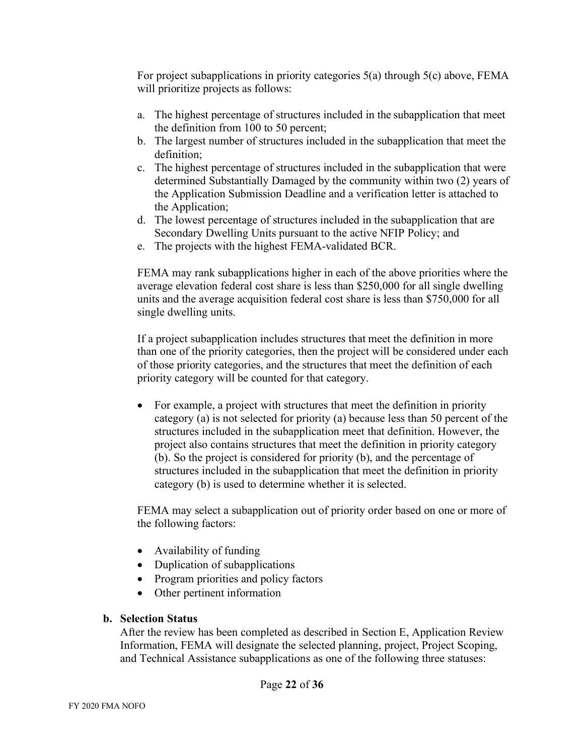For project subapplications in priority categories 5(a) through 5(c) above, FEMA will prioritize projects as follows:

- a. The highest percentage of structures included in the subapplication that meet the definition from 100 to 50 percent;
- b. The largest number of structures included in the subapplication that meet the definition;
- c. The highest percentage of structures included in the subapplication that were determined Substantially Damaged by the community within two (2) years of the Application Submission Deadline and a verification letter is attached to the Application;
- d. The lowest percentage of structures included in the subapplication that are Secondary Dwelling Units pursuant to the active NFIP Policy; and
- e. The projects with the highest FEMA-validated BCR.

FEMA may rank subapplications higher in each of the above priorities where the average elevation federal cost share is less than \$250,000 for all single dwelling units and the average acquisition federal cost share is less than \$750,000 for all single dwelling units.

If a project subapplication includes structures that meet the definition in more than one of the priority categories, then the project will be considered under each of those priority categories, and the structures that meet the definition of each priority category will be counted for that category.

• For example, a project with structures that meet the definition in priority category (a) is not selected for priority (a) because less than 50 percent of the structures included in the subapplication meet that definition. However, the project also contains structures that meet the definition in priority category (b). So the project is considered for priority (b), and the percentage of structures included in the subapplication that meet the definition in priority category (b) is used to determine whether it is selected.

FEMA may select a subapplication out of priority order based on one or more of the following factors:

- Availability of funding
- Duplication of subapplications
- Program priorities and policy factors
- Other pertinent information

# **b. Selection Status**

After the review has been completed as described in Section E, Application Review Information, FEMA will designate the selected planning, project, Project Scoping, and Technical Assistance subapplications as one of the following three statuses: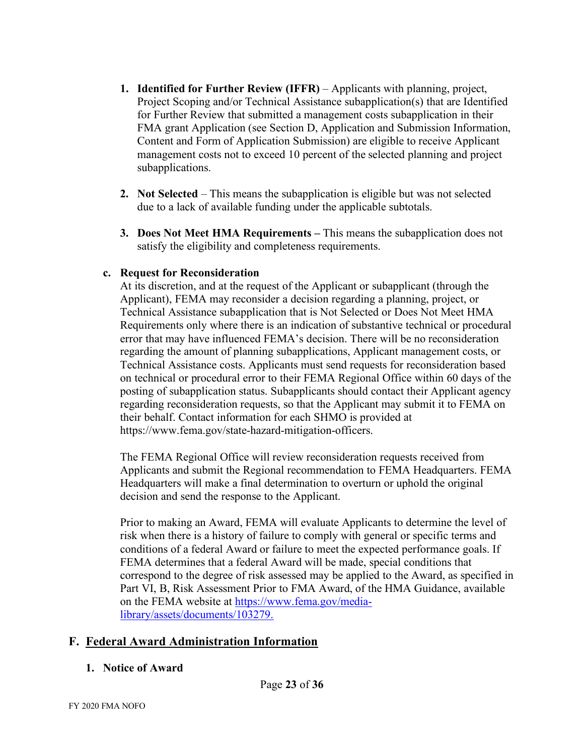- **1. Identified for Further Review (IFFR)** Applicants with planning, project, Project Scoping and/or Technical Assistance subapplication(s) that are Identified for Further Review that submitted a management costs subapplication in their FMA grant Application (see Section D, Application and Submission Information, Content and Form of Application Submission) are eligible to receive Applicant management costs not to exceed 10 percent of the selected planning and project subapplications.
- **2. Not Selected** This means the subapplication is eligible but was not selected due to a lack of available funding under the applicable subtotals.
- **3. Does Not Meet HMA Requirements** This means the subapplication does not satisfy the eligibility and completeness requirements.

## **c. Request for Reconsideration**

At its discretion, and at the request of the Applicant or subapplicant (through the Applicant), FEMA may reconsider a decision regarding a planning, project, or Technical Assistance subapplication that is Not Selected or Does Not Meet HMA Requirements only where there is an indication of substantive technical or procedural error that may have influenced FEMA's decision. There will be no reconsideration regarding the amount of planning subapplications, Applicant management costs, or Technical Assistance costs. Applicants must send requests for reconsideration based on technical or procedural error to their FEMA Regional Office within 60 days of the posting of subapplication status. Subapplicants should contact their Applicant agency regarding reconsideration requests, so that the Applicant may submit it to FEMA on their behalf. Contact information for each SHMO is provided at [https://www.fema.gov/state-hazard-mitigation-officers.](https://www.fema.gov/state-hazard-mitigation-officers)

The FEMA Regional Office will review reconsideration requests received from Applicants and submit the Regional recommendation to FEMA Headquarters. FEMA Headquarters will make a final determination to overturn or uphold the original decision and send the response to the Applicant.

Prior to making an Award, FEMA will evaluate Applicants to determine the level of risk when there is a history of failure to comply with general or specific terms and conditions of a federal Award or failure to meet the expected performance goals. If FEMA determines that a federal Award will be made, special conditions that correspond to the degree of risk assessed may be applied to the Award, as specified in Part VI, B, Risk Assessment Prior to FMA Award, of the HMA Guidance, available on the FEMA website at [https://www.fema.gov/media](https://www.fema.gov/media-library/assets/documents/103279.)[library/assets/documents/103279.](https://www.fema.gov/media-library/assets/documents/103279.)

# **F. Federal Award Administration Information**

#### **1. Notice of Award**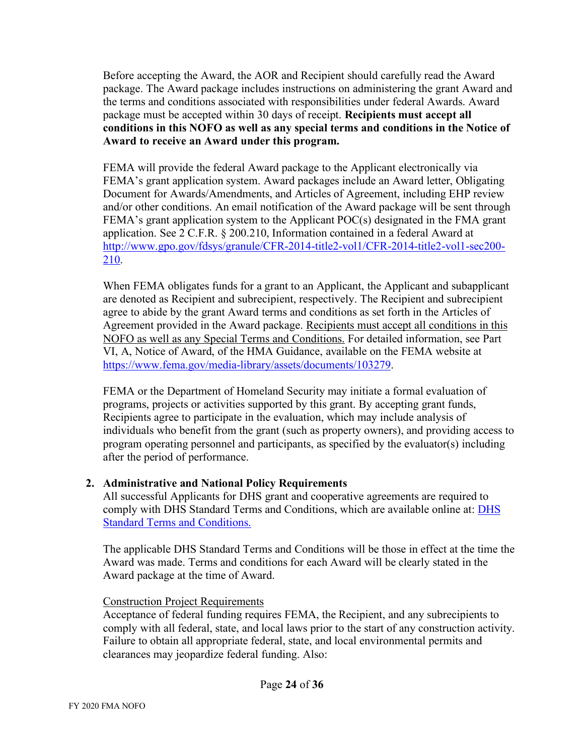Before accepting the Award, the AOR and Recipient should carefully read the Award package. The Award package includes instructions on administering the grant Award and the terms and conditions associated with responsibilities under federal Awards. Award package must be accepted within 30 days of receipt. **Recipients must accept all conditions in this NOFO as well as any special terms and conditions in the Notice of Award to receive an Award under this program.**

FEMA will provide the federal Award package to the Applicant electronically via FEMA's grant application system. Award packages include an Award letter, Obligating Document for Awards/Amendments, and Articles of Agreement, including EHP review and/or other conditions. An email notification of the Award package will be sent through FEMA's grant application system to the Applicant POC(s) designated in the FMA grant application. See 2 C.F.R. § 200.210, Information contained in a federal Award at [http://www.gpo.gov/fdsys/granule/CFR-2014-title2-vol1/CFR-2014-title2-vol1-sec200-](http://www.gpo.gov/fdsys/granule/CFR-2014-title2-vol1/CFR-2014-title2-vol1-sec200-210) [210.](http://www.gpo.gov/fdsys/granule/CFR-2014-title2-vol1/CFR-2014-title2-vol1-sec200-210)

When FEMA obligates funds for a grant to an Applicant, the Applicant and subapplicant are denoted as Recipient and subrecipient, respectively. The Recipient and subrecipient agree to abide by the grant Award terms and conditions as set forth in the Articles of Agreement provided in the Award package. Recipients must accept all conditions in this NOFO as well as any Special Terms and Conditions. For detailed information, see Part VI, A, Notice of Award, of the HMA Guidance, available on the FEMA website at [https://www.fema.gov/media-library/assets/documents/103279.](https://www.fema.gov/media-library/assets/documents/103279)

FEMA or the Department of Homeland Security may initiate a formal evaluation of programs, projects or activities supported by this grant. By accepting grant funds, Recipients agree to participate in the evaluation, which may include analysis of individuals who benefit from the grant (such as property owners), and providing access to program operating personnel and participants, as specified by the evaluator(s) including after the period of performance.

# **2. Administrative and National Policy Requirements**

All successful Applicants for DHS grant and cooperative agreements are required to comply with DHS Standard Terms and Conditions, which are available online at: [DHS](http://www.dhs.gov/publication/fy15-dhs-standard-terms-and-conditions)  [Standard Terms and Conditions.](http://www.dhs.gov/publication/fy15-dhs-standard-terms-and-conditions)

The applicable DHS Standard Terms and Conditions will be those in effect at the time the Award was made. Terms and conditions for each Award will be clearly stated in the Award package at the time of Award.

#### Construction Project Requirements

Acceptance of federal funding requires FEMA, the Recipient, and any subrecipients to comply with all federal, state, and local laws prior to the start of any construction activity. Failure to obtain all appropriate federal, state, and local environmental permits and clearances may jeopardize federal funding. Also: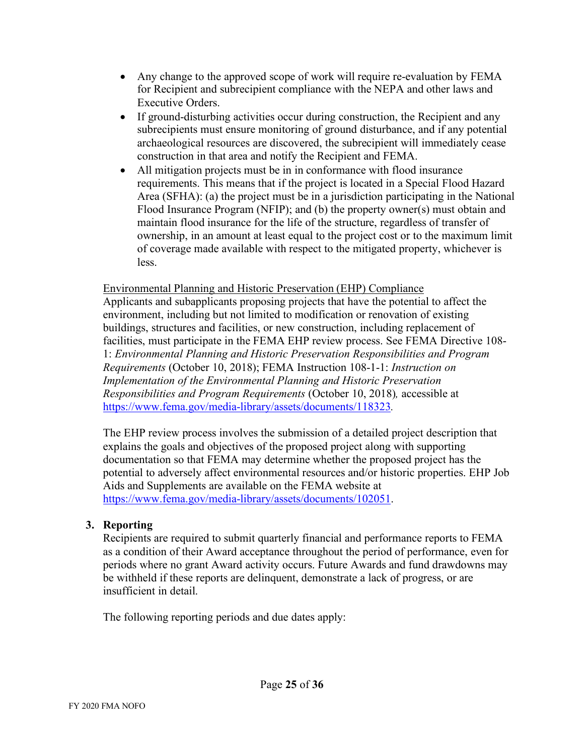- Any change to the approved scope of work will require re-evaluation by FEMA for Recipient and subrecipient compliance with the NEPA and other laws and Executive Orders.
- If ground-disturbing activities occur during construction, the Recipient and any subrecipients must ensure monitoring of ground disturbance, and if any potential archaeological resources are discovered, the subrecipient will immediately cease construction in that area and notify the Recipient and FEMA.
- All mitigation projects must be in in conformance with flood insurance requirements. This means that if the project is located in a Special Flood Hazard Area (SFHA): (a) the project must be in a jurisdiction participating in the National Flood Insurance Program (NFIP); and (b) the property owner(s) must obtain and maintain flood insurance for the life of the structure, regardless of transfer of ownership, in an amount at least equal to the project cost or to the maximum limit of coverage made available with respect to the mitigated property, whichever is less.

#### Environmental Planning and Historic Preservation (EHP) Compliance

Applicants and subapplicants proposing projects that have the potential to affect the environment, including but not limited to modification or renovation of existing buildings, structures and facilities, or new construction, including replacement of facilities, must participate in the FEMA EHP review process. See FEMA Directive 108- 1: *Environmental Planning and Historic Preservation Responsibilities and Program Requirements* (October 10, 2018); FEMA Instruction 108-1-1: *Instruction on Implementation of the Environmental Planning and Historic Preservation Responsibilities and Program Requirements* (October 10, 2018)*,* accessible at <https://www.fema.gov/media-library/assets/documents/118323>*.*

The EHP review process involves the submission of a detailed project description that explains the goals and objectives of the proposed project along with supporting documentation so that FEMA may determine whether the proposed project has the potential to adversely affect environmental resources and/or historic properties. EHP Job Aids and Supplements are available on the FEMA website at [https://www.fema.gov/media-library/assets/documents/102051.](https://www.fema.gov/media-library/assets/documents/102051)

#### **3. Reporting**

Recipients are required to submit quarterly financial and performance reports to FEMA as a condition of their Award acceptance throughout the period of performance, even for periods where no grant Award activity occurs. Future Awards and fund drawdowns may be withheld if these reports are delinquent, demonstrate a lack of progress, or are insufficient in detail.

The following reporting periods and due dates apply: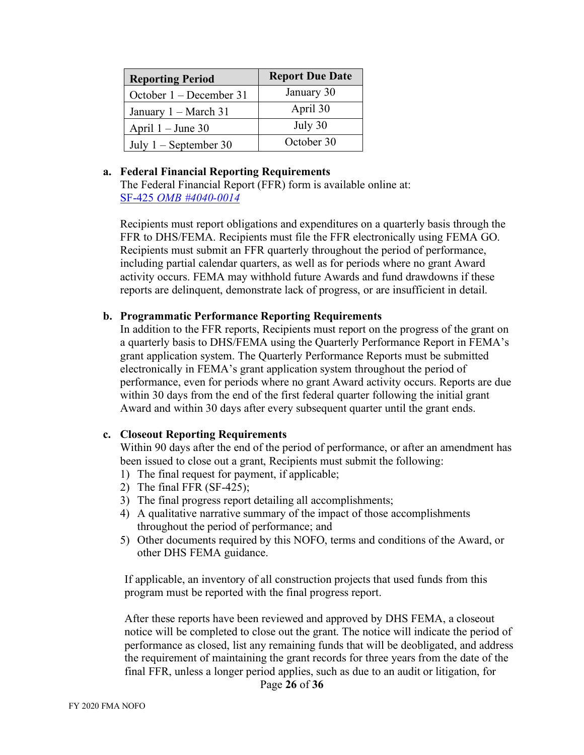| <b>Reporting Period</b> | <b>Report Due Date</b> |
|-------------------------|------------------------|
| October 1 – December 31 | January 30             |
| January 1 – March 31    | April 30               |
| April $1 -$ June 30     | July 30                |
| July $1$ – September 30 | October 30             |

#### **a. Federal Financial Reporting Requirements**

The Federal Financial Report (FFR) form is available online at: SF-425 *[OMB #4040-0014](https://www.grants.gov/web/grants/forms/post-award-reporting-forms.html#sortby=1)*

Recipients must report obligations and expenditures on a quarterly basis through the FFR to DHS/FEMA. Recipients must file the FFR electronically using FEMA GO. Recipients must submit an FFR quarterly throughout the period of performance, including partial calendar quarters, as well as for periods where no grant Award activity occurs. FEMA may withhold future Awards and fund drawdowns if these reports are delinquent, demonstrate lack of progress, or are insufficient in detail.

#### **b. Programmatic Performance Reporting Requirements**

In addition to the FFR reports, Recipients must report on the progress of the grant on a quarterly basis to DHS/FEMA using the Quarterly Performance Report in FEMA's grant application system. The Quarterly Performance Reports must be submitted electronically in FEMA's grant application system throughout the period of performance, even for periods where no grant Award activity occurs. Reports are due within 30 days from the end of the first federal quarter following the initial grant Award and within 30 days after every subsequent quarter until the grant ends.

#### **c. Closeout Reporting Requirements**

Within 90 days after the end of the period of performance, or after an amendment has been issued to close out a grant, Recipients must submit the following:

- 1) The final request for payment, if applicable;
- 2) The final FFR (SF-425);
- 3) The final progress report detailing all accomplishments;
- 4) A qualitative narrative summary of the impact of those accomplishments throughout the period of performance; and
- 5) Other documents required by this NOFO, terms and conditions of the Award, or other DHS FEMA guidance.

If applicable, an inventory of all construction projects that used funds from this program must be reported with the final progress report.

After these reports have been reviewed and approved by DHS FEMA, a closeout notice will be completed to close out the grant. The notice will indicate the period of performance as closed, list any remaining funds that will be deobligated, and address the requirement of maintaining the grant records for three years from the date of the final FFR, unless a longer period applies, such as due to an audit or litigation, for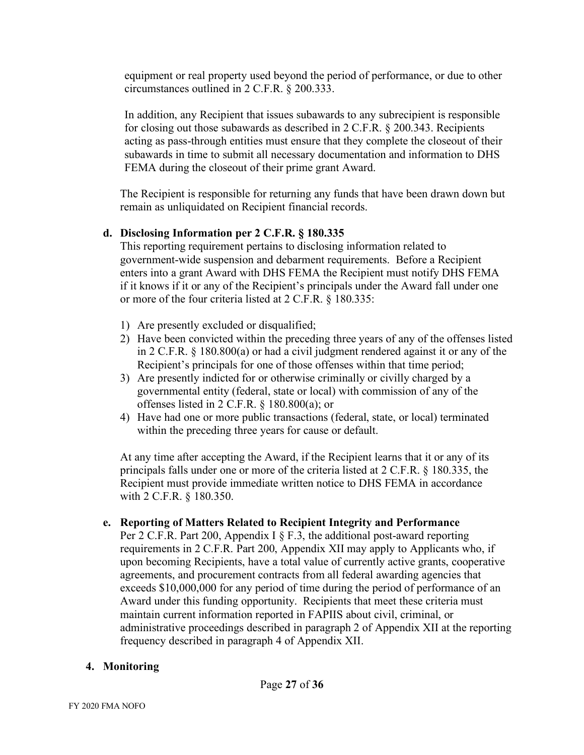equipment or real property used beyond the period of performance, or due to other circumstances outlined in 2 C.F.R. § 200.333.

In addition, any Recipient that issues subawards to any subrecipient is responsible for closing out those subawards as described in 2 C.F.R. § 200.343. Recipients acting as pass-through entities must ensure that they complete the closeout of their subawards in time to submit all necessary documentation and information to DHS FEMA during the closeout of their prime grant Award.

The Recipient is responsible for returning any funds that have been drawn down but remain as unliquidated on Recipient financial records.

## **d. Disclosing Information per 2 C.F.R. § 180.335**

This reporting requirement pertains to disclosing information related to government-wide suspension and debarment requirements. Before a Recipient enters into a grant Award with DHS FEMA the Recipient must notify DHS FEMA if it knows if it or any of the Recipient's principals under the Award fall under one or more of the four criteria listed at 2 C.F.R. § 180.335:

- 1) Are presently excluded or disqualified;
- 2) Have been convicted within the preceding three years of any of the offenses listed in 2 C.F.R. § 180.800(a) or had a civil judgment rendered against it or any of the Recipient's principals for one of those offenses within that time period;
- 3) Are presently indicted for or otherwise criminally or civilly charged by a governmental entity (federal, state or local) with commission of any of the offenses listed in 2 C.F.R. § 180.800(a); or
- 4) Have had one or more public transactions (federal, state, or local) terminated within the preceding three years for cause or default.

At any time after accepting the Award, if the Recipient learns that it or any of its principals falls under one or more of the criteria listed at 2 C.F.R. § 180.335, the Recipient must provide immediate written notice to DHS FEMA in accordance with 2 C.F.R. § 180.350.

#### **e. Reporting of Matters Related to Recipient Integrity and Performance**

Per 2 C.F.R. Part 200, Appendix I  $\S$  F.3, the additional post-award reporting requirements in 2 C.F.R. Part 200, Appendix XII may apply to Applicants who, if upon becoming Recipients, have a total value of currently active grants, cooperative agreements, and procurement contracts from all federal awarding agencies that exceeds \$10,000,000 for any period of time during the period of performance of an Award under this funding opportunity. Recipients that meet these criteria must maintain current information reported in FAPIIS about civil, criminal, or administrative proceedings described in paragraph 2 of Appendix XII at the reporting frequency described in paragraph 4 of Appendix XII.

# **4. Monitoring**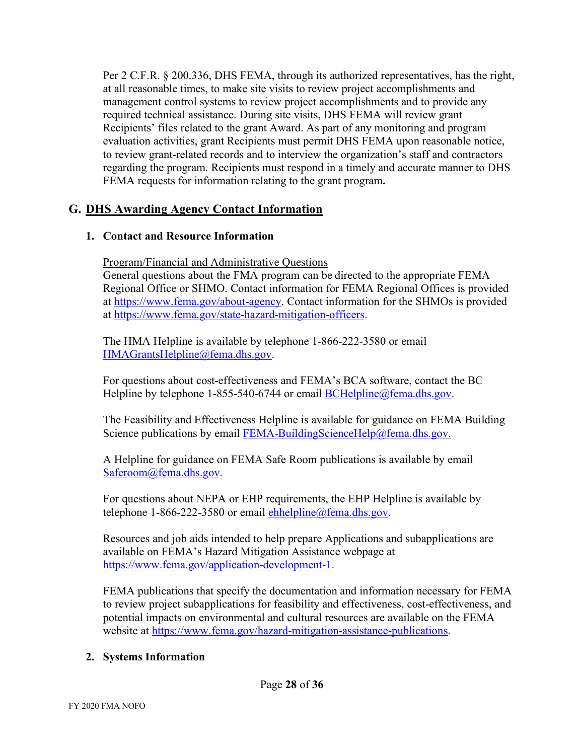Per 2 C.F.R. § 200.336, DHS FEMA, through its authorized representatives, has the right, at all reasonable times, to make site visits to review project accomplishments and management control systems to review project accomplishments and to provide any required technical assistance. During site visits, DHS FEMA will review grant Recipients' files related to the grant Award. As part of any monitoring and program evaluation activities, grant Recipients must permit DHS FEMA upon reasonable notice, to review grant-related records and to interview the organization's staff and contractors regarding the program. Recipients must respond in a timely and accurate manner to DHS FEMA requests for information relating to the grant program**.** 

# **G. DHS Awarding Agency Contact Information**

## **1. Contact and Resource Information**

Program/Financial and Administrative Questions

General questions about the FMA program can be directed to the appropriate FEMA Regional Office or SHMO. Contact information for FEMA Regional Offices is provided at [https://www.fema.gov/about-agency.](https://www.fema.gov/about-agency) Contact information for the SHMOs is provided at [https://www.fema.gov/state-hazard-mitigation-officers.](https://www.fema.gov/state-hazard-mitigation-officers)

The HMA Helpline is available by telephone 1-866-222-3580 or email [HMAGrantsHelpline@fema.dhs.gov.](mailto:HMAGrantsHelpline@fema.dhs.gov)

For questions about cost-effectiveness and FEMA's BCA software, contact the BC Helpline by telephone 1-855-540-6744 or email [BCHelpline@fema.dhs.gov.](mailto:BCHelpline@fema.dhs.gov)

The Feasibility and Effectiveness Helpline is available for guidance on FEMA Building Science publications by email [FEMA-BuildingScienceHelp@fema.dhs.gov.](mailto:FEMA-BuildingScienceHelp@fema.dhs.gov)

A Helpline for guidance on FEMA Safe Room publications is available by email [Saferoom@fema.dhs.gov.](mailto:Saferoom@fema.dhs.gov)

For questions about NEPA or EHP requirements, the EHP Helpline is available by telephone  $1-866-222-3580$  or email ehhelpline  $@f$  fema.dhs.gov.

Resources and job aids intended to help prepare Applications and subapplications are available on FEMA's Hazard Mitigation Assistance webpage at [https://www.fema.gov/application-development-1.](https://www.fema.gov/application-development-1)

FEMA publications that specify the documentation and information necessary for FEMA to review project subapplications for feasibility and effectiveness, cost-effectiveness, and potential impacts on environmental and cultural resources are available on the FEMA website at [https://www.fema.gov/hazard-mitigation-assistance-publications.](https://www.fema.gov/hazard-mitigation-assistance-publications)

#### **2. Systems Information**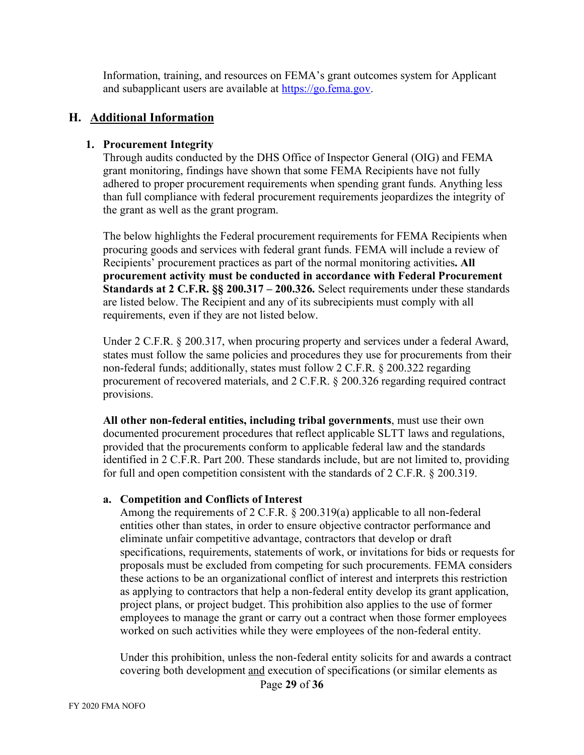Information, training, and resources on FEMA's grant outcomes system for Applicant and subapplicant users are available at [https://go.fema.gov.](https://go.fema.gov/)

#### **H. Additional Information**

#### **1. Procurement Integrity**

Through audits conducted by the DHS Office of Inspector General (OIG) and FEMA grant monitoring, findings have shown that some FEMA Recipients have not fully adhered to proper procurement requirements when spending grant funds. Anything less than full compliance with federal procurement requirements jeopardizes the integrity of the grant as well as the grant program.

The below highlights the Federal procurement requirements for FEMA Recipients when procuring goods and services with federal grant funds. FEMA will include a review of Recipients' procurement practices as part of the normal monitoring activities**. All procurement activity must be conducted in accordance with Federal Procurement Standards at 2 C.F.R. §§ 200.317 – 200.326.** Select requirements under these standards are listed below. The Recipient and any of its subrecipients must comply with all requirements, even if they are not listed below.

Under 2 C.F.R. § 200.317, when procuring property and services under a federal Award, states must follow the same policies and procedures they use for procurements from their non-federal funds; additionally, states must follow 2 C.F.R. § 200.322 regarding procurement of recovered materials, and 2 C.F.R. § 200.326 regarding required contract provisions.

**All other non-federal entities, including tribal governments**, must use their own documented procurement procedures that reflect applicable SLTT laws and regulations, provided that the procurements conform to applicable federal law and the standards identified in 2 C.F.R. Part 200. These standards include, but are not limited to, providing for full and open competition consistent with the standards of 2 C.F.R. § 200.319.

#### **a. Competition and Conflicts of Interest**

Among the requirements of 2 C.F.R. § 200.319(a) applicable to all non-federal entities other than states, in order to ensure objective contractor performance and eliminate unfair competitive advantage, contractors that develop or draft specifications, requirements, statements of work, or invitations for bids or requests for proposals must be excluded from competing for such procurements. FEMA considers these actions to be an organizational conflict of interest and interprets this restriction as applying to contractors that help a non-federal entity develop its grant application, project plans, or project budget. This prohibition also applies to the use of former employees to manage the grant or carry out a contract when those former employees worked on such activities while they were employees of the non-federal entity.

Under this prohibition, unless the non-federal entity solicits for and awards a contract covering both development and execution of specifications (or similar elements as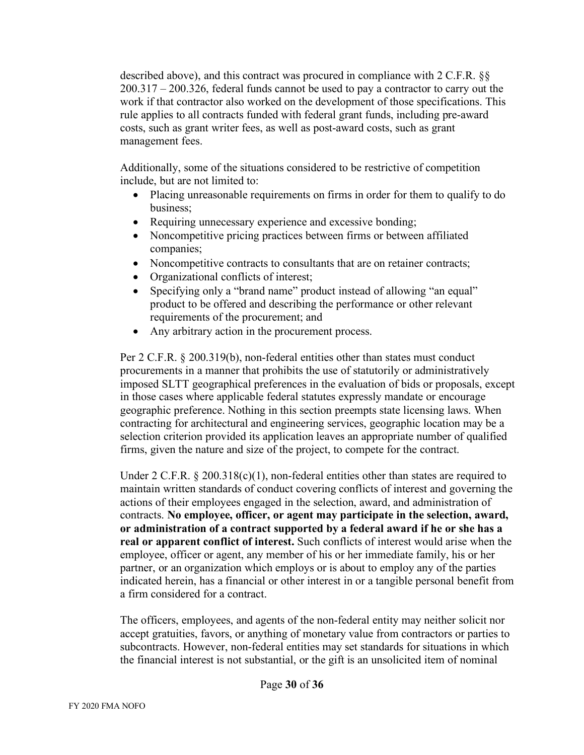described above), and this contract was procured in compliance with 2 C.F.R. §§ 200.317 – 200.326, federal funds cannot be used to pay a contractor to carry out the work if that contractor also worked on the development of those specifications. This rule applies to all contracts funded with federal grant funds, including pre-award costs, such as grant writer fees, as well as post-award costs, such as grant management fees.

Additionally, some of the situations considered to be restrictive of competition include, but are not limited to:

- Placing unreasonable requirements on firms in order for them to qualify to do business;
- Requiring unnecessary experience and excessive bonding;
- Noncompetitive pricing practices between firms or between affiliated companies;
- Noncompetitive contracts to consultants that are on retainer contracts;
- Organizational conflicts of interest;
- Specifying only a "brand name" product instead of allowing "an equal" product to be offered and describing the performance or other relevant requirements of the procurement; and
- Any arbitrary action in the procurement process.

Per 2 C.F.R. § 200.319(b), non-federal entities other than states must conduct procurements in a manner that prohibits the use of statutorily or administratively imposed SLTT geographical preferences in the evaluation of bids or proposals, except in those cases where applicable federal statutes expressly mandate or encourage geographic preference. Nothing in this section preempts state licensing laws. When contracting for architectural and engineering services, geographic location may be a selection criterion provided its application leaves an appropriate number of qualified firms, given the nature and size of the project, to compete for the contract.

Under 2 C.F.R.  $\S 200.318(c)(1)$ , non-federal entities other than states are required to maintain written standards of conduct covering conflicts of interest and governing the actions of their employees engaged in the selection, award, and administration of contracts. **No employee, officer, or agent may participate in the selection, award, or administration of a contract supported by a federal award if he or she has a real or apparent conflict of interest.** Such conflicts of interest would arise when the employee, officer or agent, any member of his or her immediate family, his or her partner, or an organization which employs or is about to employ any of the parties indicated herein, has a financial or other interest in or a tangible personal benefit from a firm considered for a contract.

The officers, employees, and agents of the non-federal entity may neither solicit nor accept gratuities, favors, or anything of monetary value from contractors or parties to subcontracts. However, non-federal entities may set standards for situations in which the financial interest is not substantial, or the gift is an unsolicited item of nominal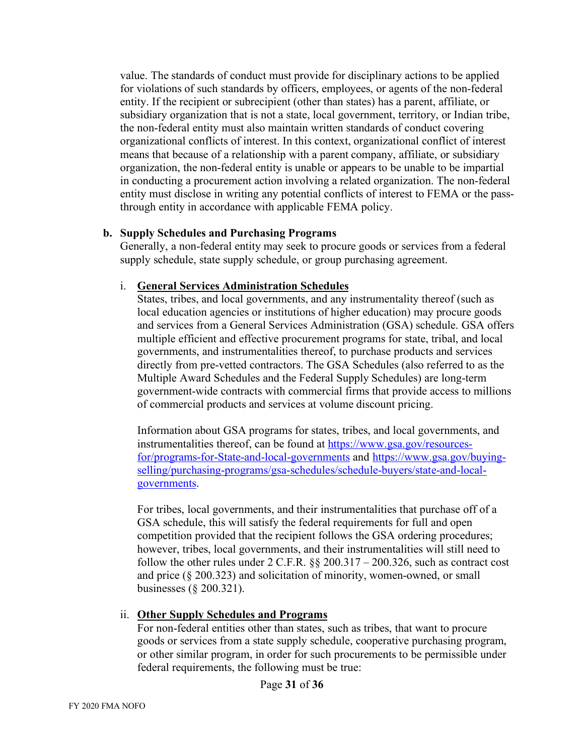value. The standards of conduct must provide for disciplinary actions to be applied for violations of such standards by officers, employees, or agents of the non-federal entity. If the recipient or subrecipient (other than states) has a parent, affiliate, or subsidiary organization that is not a state, local government, territory, or Indian tribe, the non-federal entity must also maintain written standards of conduct covering organizational conflicts of interest. In this context, organizational conflict of interest means that because of a relationship with a parent company, affiliate, or subsidiary organization, the non-federal entity is unable or appears to be unable to be impartial in conducting a procurement action involving a related organization. The non-federal entity must disclose in writing any potential conflicts of interest to FEMA or the passthrough entity in accordance with applicable FEMA policy.

#### **b. Supply Schedules and Purchasing Programs**

Generally, a non-federal entity may seek to procure goods or services from a federal supply schedule, state supply schedule, or group purchasing agreement.

#### i. **General Services Administration Schedules**

States, tribes, and local governments, and any instrumentality thereof (such as local education agencies or institutions of higher education) may procure goods and services from a General Services Administration (GSA) schedule. GSA offers multiple efficient and effective procurement programs for state, tribal, and local governments, and instrumentalities thereof, to purchase products and services directly from pre-vetted contractors. The GSA Schedules (also referred to as the Multiple Award Schedules and the Federal Supply Schedules) are long-term government-wide contracts with commercial firms that provide access to millions of commercial products and services at volume discount pricing.

Information about GSA programs for states, tribes, and local governments, and instrumentalities thereof, can be found at [https://www.gsa.gov/resources](https://www.gsa.gov/resources-for/programs-for-State-and-local-governments)[for/programs-for-State-and-local-governments](https://www.gsa.gov/resources-for/programs-for-State-and-local-governments) and [https://www.gsa.gov/buying](https://www.gsa.gov/buying-selling/purchasing-programs/gsa-schedules/schedule-buyers/state-and-local-governments)[selling/purchasing-programs/gsa-schedules/schedule-buyers/state-and-local](https://www.gsa.gov/buying-selling/purchasing-programs/gsa-schedules/schedule-buyers/state-and-local-governments)[governments.](https://www.gsa.gov/buying-selling/purchasing-programs/gsa-schedules/schedule-buyers/state-and-local-governments)

For tribes, local governments, and their instrumentalities that purchase off of a GSA schedule, this will satisfy the federal requirements for full and open competition provided that the recipient follows the GSA ordering procedures; however, tribes, local governments, and their instrumentalities will still need to follow the other rules under  $2 \text{ C.F.R. }$  §§  $200.317 - 200.326$ , such as contract cost and price (§ 200.323) and solicitation of minority, women-owned, or small businesses (§ 200.321).

#### ii. **Other Supply Schedules and Programs**

For non-federal entities other than states, such as tribes, that want to procure goods or services from a state supply schedule, cooperative purchasing program, or other similar program, in order for such procurements to be permissible under federal requirements, the following must be true: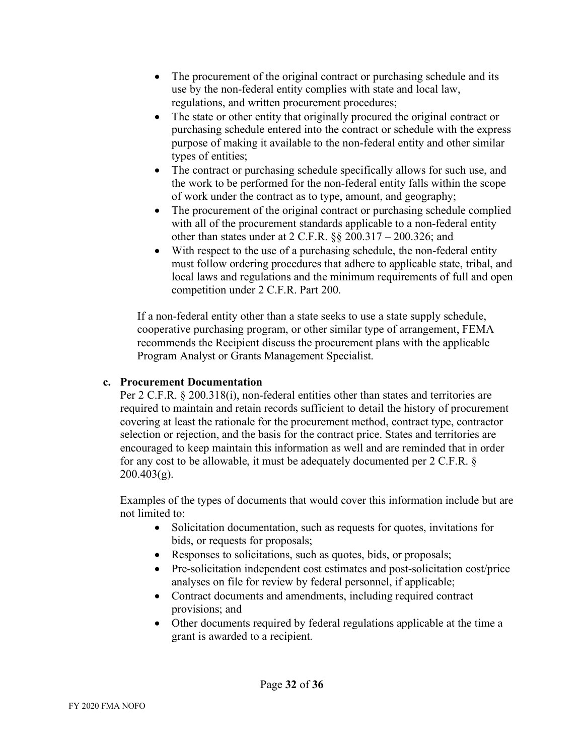- The procurement of the original contract or purchasing schedule and its use by the non-federal entity complies with state and local law, regulations, and written procurement procedures;
- The state or other entity that originally procured the original contract or purchasing schedule entered into the contract or schedule with the express purpose of making it available to the non-federal entity and other similar types of entities;
- The contract or purchasing schedule specifically allows for such use, and the work to be performed for the non-federal entity falls within the scope of work under the contract as to type, amount, and geography;
- The procurement of the original contract or purchasing schedule complied with all of the procurement standards applicable to a non-federal entity other than states under at 2 C.F.R. §§ 200.317 – 200.326; and
- With respect to the use of a purchasing schedule, the non-federal entity must follow ordering procedures that adhere to applicable state, tribal, and local laws and regulations and the minimum requirements of full and open competition under 2 C.F.R. Part 200.

If a non-federal entity other than a state seeks to use a state supply schedule, cooperative purchasing program, or other similar type of arrangement, FEMA recommends the Recipient discuss the procurement plans with the applicable Program Analyst or Grants Management Specialist.

#### **c. Procurement Documentation**

Per 2 C.F.R. § 200.318(i), non-federal entities other than states and territories are required to maintain and retain records sufficient to detail the history of procurement covering at least the rationale for the procurement method, contract type, contractor selection or rejection, and the basis for the contract price. States and territories are encouraged to keep maintain this information as well and are reminded that in order for any cost to be allowable, it must be adequately documented per 2 C.F.R. §  $200.403(g)$ .

Examples of the types of documents that would cover this information include but are not limited to:

- Solicitation documentation, such as requests for quotes, invitations for bids, or requests for proposals;
- Responses to solicitations, such as quotes, bids, or proposals;
- Pre-solicitation independent cost estimates and post-solicitation cost/price analyses on file for review by federal personnel, if applicable;
- Contract documents and amendments, including required contract provisions; and
- Other documents required by federal regulations applicable at the time a grant is awarded to a recipient.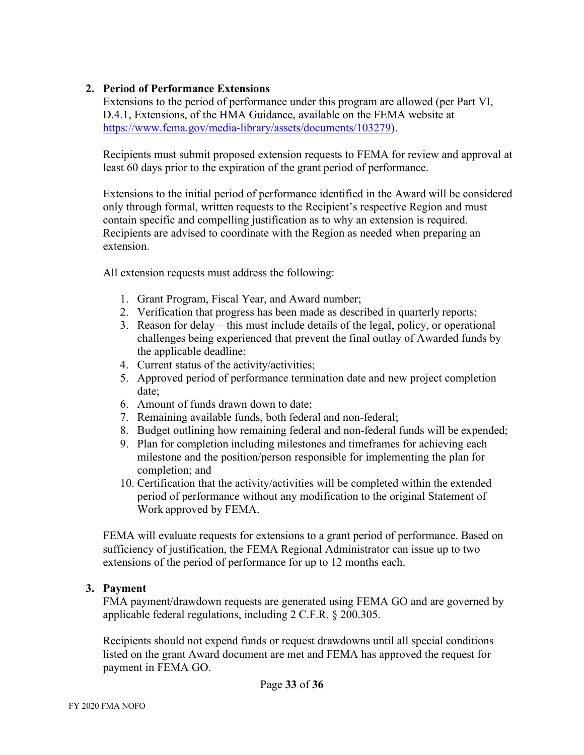## **2. Period of Performance Extensions**

Extensions to the period of performance under this program are allowed (per Part VI, D.4.1, Extensions, of the HMA Guidance, available on the FEMA website at [https://www.fema.gov/media-library/assets/documents/103279\)](https://www.fema.gov/media-library/assets/documents/103279).

Recipients must submit proposed extension requests to FEMA for review and approval at least 60 days prior to the expiration of the grant period of performance.

Extensions to the initial period of performance identified in the Award will be considered only through formal, written requests to the Recipient's respective Region and must contain specific and compelling justification as to why an extension is required. Recipients are advised to coordinate with the Region as needed when preparing an extension.

All extension requests must address the following:

- 1. Grant Program, Fiscal Year, and Award number;
- 2. Verification that progress has been made as described in quarterly reports;
- 3. Reason for delay this must include details of the legal, policy, or operational challenges being experienced that prevent the final outlay of Awarded funds by the applicable deadline;
- 4. Current status of the activity/activities;
- 5. Approved period of performance termination date and new project completion date;
- 6. Amount of funds drawn down to date;
- 7. Remaining available funds, both federal and non-federal;
- 8. Budget outlining how remaining federal and non-federal funds will be expended;
- 9. Plan for completion including milestones and timeframes for achieving each milestone and the position/person responsible for implementing the plan for completion; and
- 10. Certification that the activity/activities will be completed within the extended period of performance without any modification to the original Statement of Work approved by FEMA.

FEMA will evaluate requests for extensions to a grant period of performance. Based on sufficiency of justification, the FEMA Regional Administrator can issue up to two extensions of the period of performance for up to 12 months each.

#### **3. Payment**

FMA payment/drawdown requests are generated using FEMA GO and are governed by applicable federal regulations, including 2 C.F.R. § 200.305.

Recipients should not expend funds or request drawdowns until all special conditions listed on the grant Award document are met and FEMA has approved the request for payment in FEMA GO.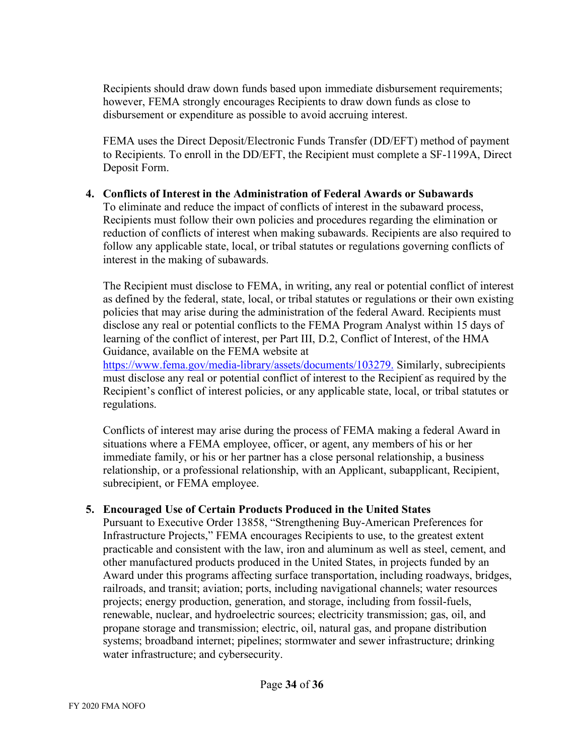Recipients should draw down funds based upon immediate disbursement requirements; however, FEMA strongly encourages Recipients to draw down funds as close to disbursement or expenditure as possible to avoid accruing interest.

FEMA uses the Direct Deposit/Electronic Funds Transfer (DD/EFT) method of payment to Recipients. To enroll in the DD/EFT, the Recipient must complete a SF-1199A, Direct Deposit Form.

#### **4. Conflicts of Interest in the Administration of Federal Awards or Subawards**

To eliminate and reduce the impact of conflicts of interest in the subaward process, Recipients must follow their own policies and procedures regarding the elimination or reduction of conflicts of interest when making subawards. Recipients are also required to follow any applicable state, local, or tribal statutes or regulations governing conflicts of interest in the making of subawards.

The Recipient must disclose to FEMA, in writing, any real or potential conflict of interest as defined by the federal, state, local, or tribal statutes or regulations or their own existing policies that may arise during the administration of the federal Award. Recipients must disclose any real or potential conflicts to the FEMA Program Analyst within 15 days of learning of the conflict of interest, per Part III, D.2, Conflict of Interest, of the HMA Guidance, available on the FEMA website at

[https://www.fema.gov/media-library/assets/documents/103279.](https://www.fema.gov/media-library/assets/documents/103279) Similarly, subrecipients must disclose any real or potential conflict of interest to the Recipient as required by the Recipient's conflict of interest policies, or any applicable state, local, or tribal statutes or regulations.

Conflicts of interest may arise during the process of FEMA making a federal Award in situations where a FEMA employee, officer, or agent, any members of his or her immediate family, or his or her partner has a close personal relationship, a business relationship, or a professional relationship, with an Applicant, subapplicant, Recipient, subrecipient, or FEMA employee.

#### **5. Encouraged Use of Certain Products Produced in the United States**

Pursuant to Executive Order 13858, "Strengthening Buy-American Preferences for Infrastructure Projects," FEMA encourages Recipients to use, to the greatest extent practicable and consistent with the law, iron and aluminum as well as steel, cement, and other manufactured products produced in the United States, in projects funded by an Award under this programs affecting surface transportation, including roadways, bridges, railroads, and transit; aviation; ports, including navigational channels; water resources projects; energy production, generation, and storage, including from fossil-fuels, renewable, nuclear, and hydroelectric sources; electricity transmission; gas, oil, and propane storage and transmission; electric, oil, natural gas, and propane distribution systems; broadband internet; pipelines; stormwater and sewer infrastructure; drinking water infrastructure; and cybersecurity.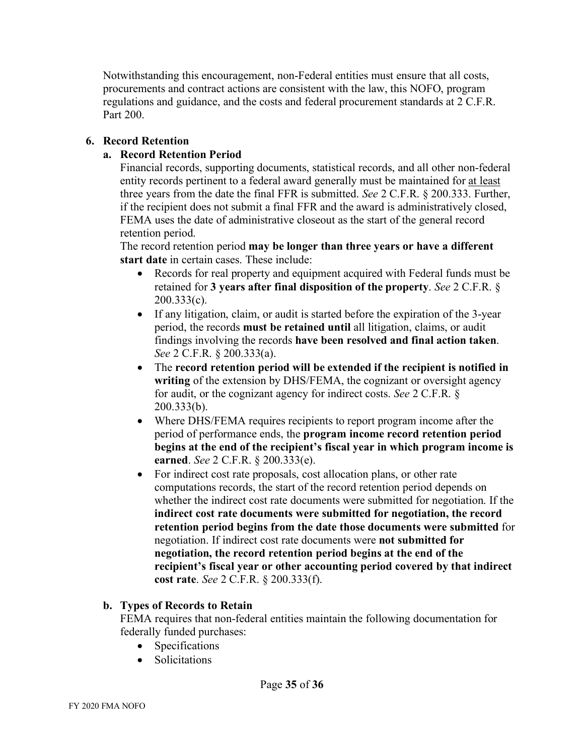Notwithstanding this encouragement, non-Federal entities must ensure that all costs, procurements and contract actions are consistent with the law, this NOFO, program regulations and guidance, and the costs and federal procurement standards at 2 C.F.R. Part 200.

#### **6. Record Retention**

#### **a. Record Retention Period**

Financial records, supporting documents, statistical records, and all other non-federal entity records pertinent to a federal award generally must be maintained for at least three years from the date the final FFR is submitted. *See* 2 C.F.R. § 200.333. Further, if the recipient does not submit a final FFR and the award is administratively closed, FEMA uses the date of administrative closeout as the start of the general record retention period.

The record retention period **may be longer than three years or have a different start date** in certain cases. These include:

- Records for real property and equipment acquired with Federal funds must be retained for **3 years after final disposition of the property**. *See* 2 C.F.R. § 200.333(c).
- If any litigation, claim, or audit is started before the expiration of the 3-year period, the records **must be retained until** all litigation, claims, or audit findings involving the records **have been resolved and final action taken**. *See* 2 C.F.R. § 200.333(a).
- The **record retention period will be extended if the recipient is notified in writing** of the extension by DHS/FEMA, the cognizant or oversight agency for audit, or the cognizant agency for indirect costs. *See* 2 C.F.R. § 200.333(b).
- Where DHS/FEMA requires recipients to report program income after the period of performance ends, the **program income record retention period begins at the end of the recipient's fiscal year in which program income is earned**. *See* 2 C.F.R. § 200.333(e).
- For indirect cost rate proposals, cost allocation plans, or other rate computations records, the start of the record retention period depends on whether the indirect cost rate documents were submitted for negotiation. If the **indirect cost rate documents were submitted for negotiation, the record retention period begins from the date those documents were submitted** for negotiation. If indirect cost rate documents were **not submitted for negotiation, the record retention period begins at the end of the recipient's fiscal year or other accounting period covered by that indirect cost rate**. *See* 2 C.F.R. § 200.333(f).

#### **b. Types of Records to Retain**

FEMA requires that non-federal entities maintain the following documentation for federally funded purchases:

- Specifications
- Solicitations